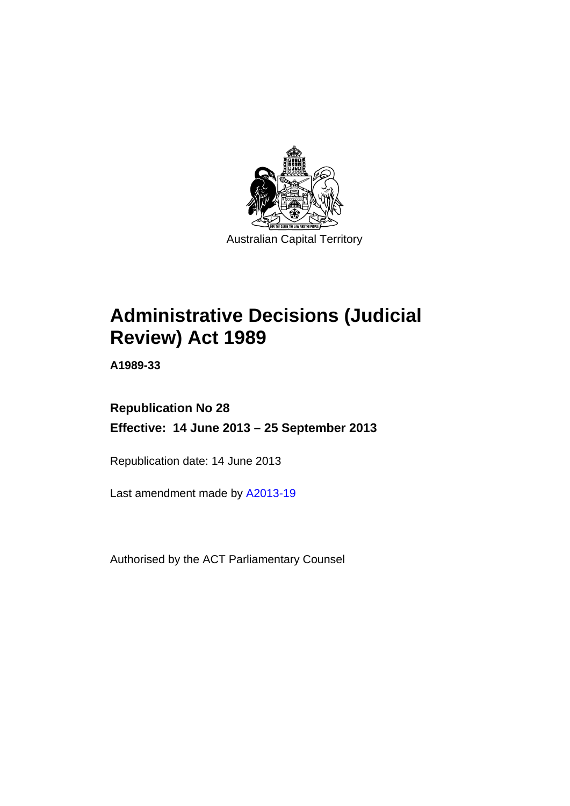

# **Administrative Decisions (Judicial Review) Act 1989**

**A1989-33** 

# **Republication No 28 Effective: 14 June 2013 – 25 September 2013**

Republication date: 14 June 2013

Last amendment made by [A2013-19](http://www.legislation.act.gov.au/a/2013-19)

Authorised by the ACT Parliamentary Counsel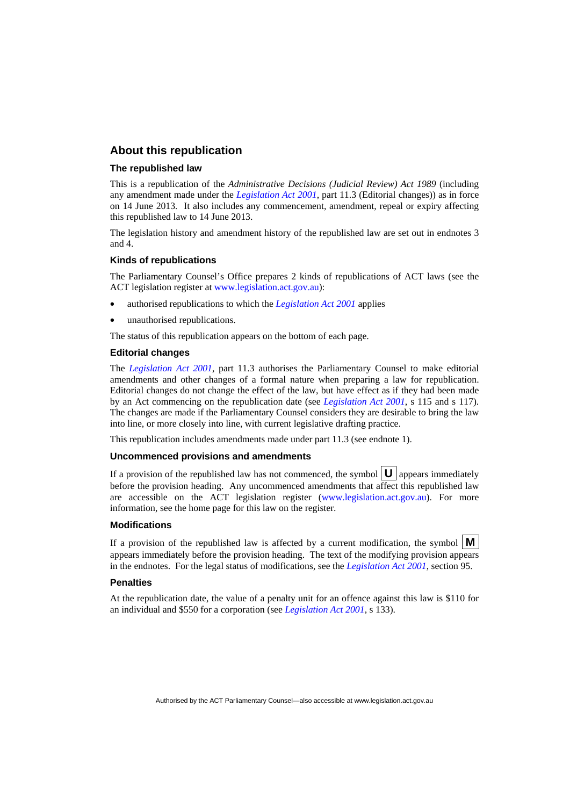## **About this republication**

#### **The republished law**

This is a republication of the *Administrative Decisions (Judicial Review) Act 1989* (including any amendment made under the *[Legislation Act 2001](http://www.legislation.act.gov.au/a/2001-14)*, part 11.3 (Editorial changes)) as in force on 14 June 2013*.* It also includes any commencement, amendment, repeal or expiry affecting this republished law to 14 June 2013.

The legislation history and amendment history of the republished law are set out in endnotes 3 and 4.

#### **Kinds of republications**

The Parliamentary Counsel's Office prepares 2 kinds of republications of ACT laws (see the ACT legislation register at [www.legislation.act.gov.au](http://www.legislation.act.gov.au/)):

- authorised republications to which the *[Legislation Act 2001](http://www.legislation.act.gov.au/a/2001-14)* applies
- unauthorised republications.

The status of this republication appears on the bottom of each page.

#### **Editorial changes**

The *[Legislation Act 2001](http://www.legislation.act.gov.au/a/2001-14)*, part 11.3 authorises the Parliamentary Counsel to make editorial amendments and other changes of a formal nature when preparing a law for republication. Editorial changes do not change the effect of the law, but have effect as if they had been made by an Act commencing on the republication date (see *[Legislation Act 2001](http://www.legislation.act.gov.au/a/2001-14)*, s 115 and s 117). The changes are made if the Parliamentary Counsel considers they are desirable to bring the law into line, or more closely into line, with current legislative drafting practice.

This republication includes amendments made under part 11.3 (see endnote 1).

#### **Uncommenced provisions and amendments**

If a provision of the republished law has not commenced, the symbol  $\mathbf{U}$  appears immediately before the provision heading. Any uncommenced amendments that affect this republished law are accessible on the ACT legislation register [\(www.legislation.act.gov.au\)](http://www.legislation.act.gov.au/). For more information, see the home page for this law on the register.

#### **Modifications**

If a provision of the republished law is affected by a current modification, the symbol  $\mathbf{M}$ appears immediately before the provision heading. The text of the modifying provision appears in the endnotes. For the legal status of modifications, see the *[Legislation Act 2001](http://www.legislation.act.gov.au/a/2001-14)*, section 95.

#### **Penalties**

At the republication date, the value of a penalty unit for an offence against this law is \$110 for an individual and \$550 for a corporation (see *[Legislation Act 2001](http://www.legislation.act.gov.au/a/2001-14)*, s 133).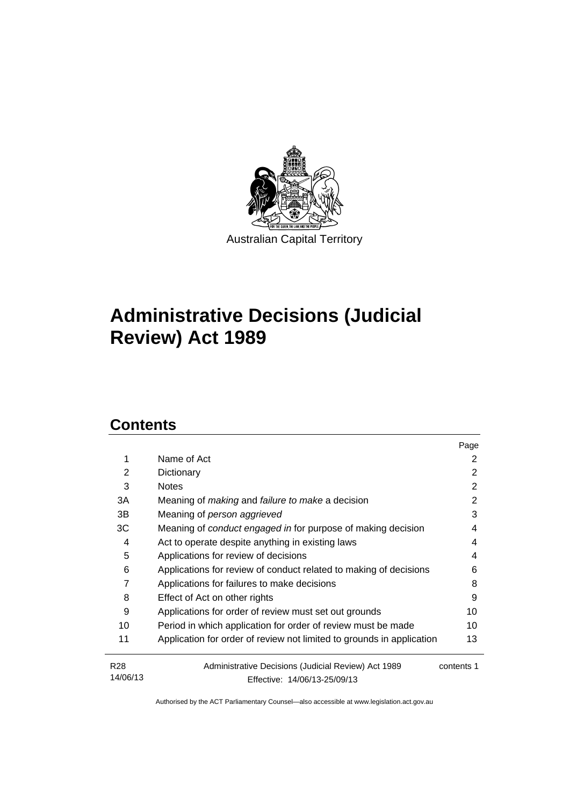

# **Administrative Decisions (Judicial Review) Act 1989**

# **Contents**

|                             |                                                                                     | Page       |  |
|-----------------------------|-------------------------------------------------------------------------------------|------------|--|
| 1                           | Name of Act                                                                         | 2          |  |
| 2                           | Dictionary                                                                          | 2          |  |
| 3                           | <b>Notes</b>                                                                        | 2          |  |
| 3A                          | Meaning of <i>making</i> and <i>failure to make</i> a decision                      | 2          |  |
| 3B                          | Meaning of person aggrieved                                                         | 3          |  |
| 3C                          | Meaning of conduct engaged in for purpose of making decision                        | 4          |  |
| 4                           | Act to operate despite anything in existing laws                                    | 4          |  |
| 5                           | Applications for review of decisions                                                | 4          |  |
| 6                           | Applications for review of conduct related to making of decisions                   | 6          |  |
| 7                           | Applications for failures to make decisions<br>8                                    |            |  |
| 8                           | Effect of Act on other rights                                                       | 9          |  |
| 9                           | Applications for order of review must set out grounds                               | 10         |  |
| 10                          | Period in which application for order of review must be made                        | 10         |  |
| 11                          | Application for order of review not limited to grounds in application               | 13         |  |
| R <sub>28</sub><br>14/06/13 | Administrative Decisions (Judicial Review) Act 1989<br>Effective: 14/06/13-25/09/13 | contents 1 |  |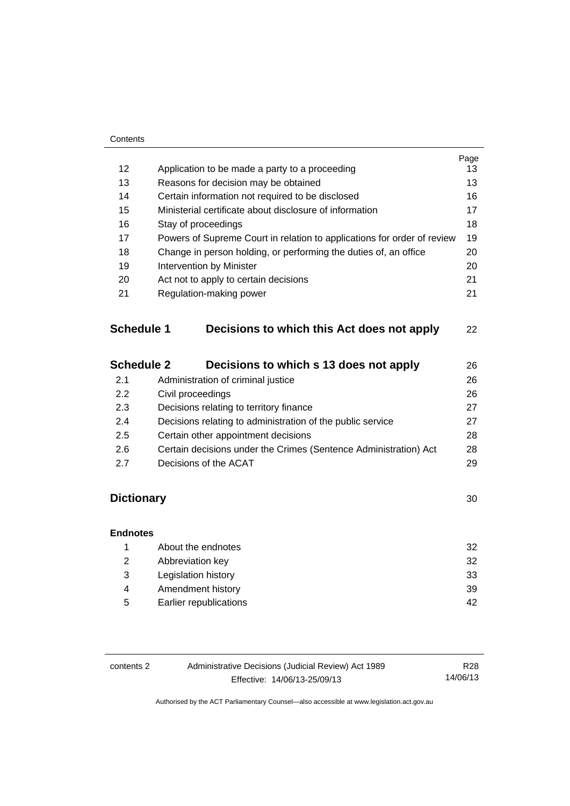|                   |                                                                         | Page     |  |
|-------------------|-------------------------------------------------------------------------|----------|--|
| 12                | Application to be made a party to a proceeding                          | 13<br>13 |  |
| 13                | Reasons for decision may be obtained                                    |          |  |
| 14                | Certain information not required to be disclosed                        | 16       |  |
| 15                | Ministerial certificate about disclosure of information                 | 17       |  |
| 16                | Stay of proceedings                                                     | 18       |  |
| 17                | Powers of Supreme Court in relation to applications for order of review | 19       |  |
| 18                | Change in person holding, or performing the duties of, an office        | 20       |  |
| 19                | Intervention by Minister                                                | 20       |  |
| 20                | Act not to apply to certain decisions                                   | 21       |  |
| 21                | Regulation-making power                                                 | 21       |  |
| <b>Schedule 1</b> | Decisions to which this Act does not apply                              | 22       |  |
| <b>Schedule 2</b> | Decisions to which s 13 does not apply                                  | 26       |  |
| 2.1               | Administration of criminal justice                                      | 26       |  |
| 2.2               | Civil proceedings                                                       | 26       |  |
| 2.3               | Decisions relating to territory finance                                 | 27       |  |
| 2.4               | Decisions relating to administration of the public service              | 27       |  |
| 2.5               | Certain other appointment decisions                                     | 28       |  |
| 2.6               | Certain decisions under the Crimes (Sentence Administration) Act        | 28       |  |
| 2.7               | Decisions of the ACAT                                                   | 29       |  |
| <b>Dictionary</b> |                                                                         | 30       |  |
| <b>Endnotes</b>   |                                                                         |          |  |

|   | About the endnotes     | 32 |
|---|------------------------|----|
| 2 | Abbreviation key       | 32 |
| 3 | Legislation history    | 33 |
| 4 | Amendment history      | 39 |
| 5 | Earlier republications | 42 |
|   |                        |    |

| contents 2 | Administrative Decisions (Judicial Review) Act 1989 | R28      |
|------------|-----------------------------------------------------|----------|
|            | Effective: 14/06/13-25/09/13                        | 14/06/13 |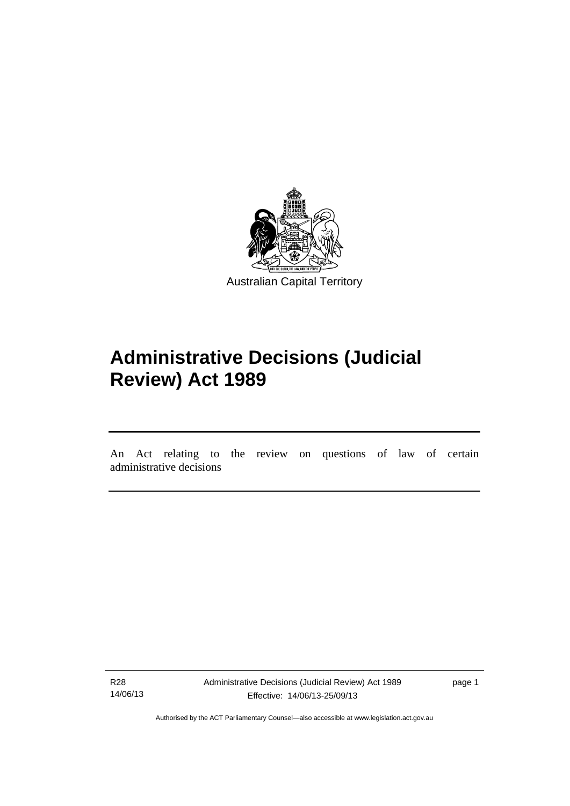

# **Administrative Decisions (Judicial Review) Act 1989**

An Act relating to the review on questions of law of certain administrative decisions

R28 14/06/13

l

Administrative Decisions (Judicial Review) Act 1989 Effective: 14/06/13-25/09/13

page 1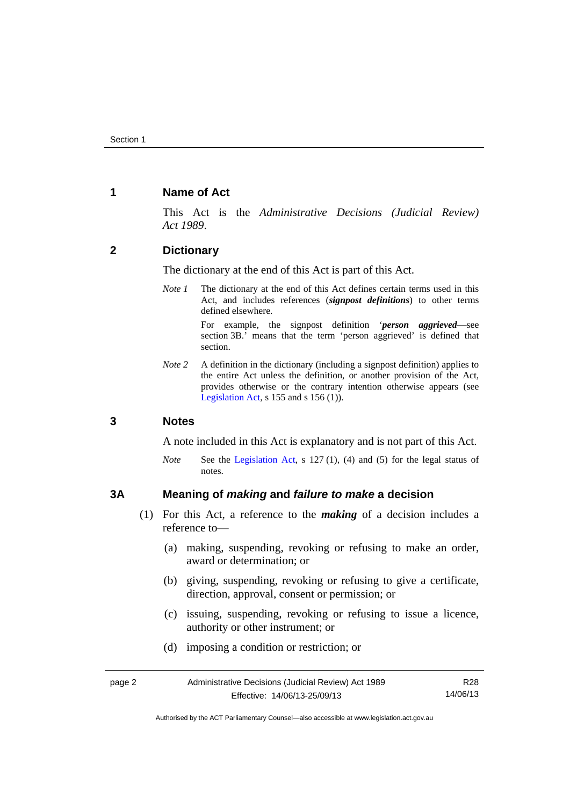## <span id="page-5-0"></span>**1 Name of Act**

This Act is the *Administrative Decisions (Judicial Review) Act 1989*.

## <span id="page-5-1"></span>**2 Dictionary**

The dictionary at the end of this Act is part of this Act.

*Note 1* The dictionary at the end of this Act defines certain terms used in this Act, and includes references (*signpost definitions*) to other terms defined elsewhere.

> For example, the signpost definition '*person aggrieved*—see section 3B.' means that the term 'person aggrieved' is defined that section.

*Note* 2 A definition in the dictionary (including a signpost definition) applies to the entire Act unless the definition, or another provision of the Act, provides otherwise or the contrary intention otherwise appears (see [Legislation Act,](http://www.legislation.act.gov.au/a/2001-14) s  $155$  and s  $156$  (1)).

## <span id="page-5-2"></span>**3 Notes**

A note included in this Act is explanatory and is not part of this Act.

*Note* See the [Legislation Act,](http://www.legislation.act.gov.au/a/2001-14) s 127 (1), (4) and (5) for the legal status of notes.

## <span id="page-5-3"></span>**3A Meaning of** *making* **and** *failure to make* **a decision**

- (1) For this Act, a reference to the *making* of a decision includes a reference to—
	- (a) making, suspending, revoking or refusing to make an order, award or determination; or
	- (b) giving, suspending, revoking or refusing to give a certificate, direction, approval, consent or permission; or
	- (c) issuing, suspending, revoking or refusing to issue a licence, authority or other instrument; or
	- (d) imposing a condition or restriction; or

| page 2 | Administrative Decisions (Judicial Review) Act 1989 | R28      |
|--------|-----------------------------------------------------|----------|
|        | Effective: 14/06/13-25/09/13                        | 14/06/13 |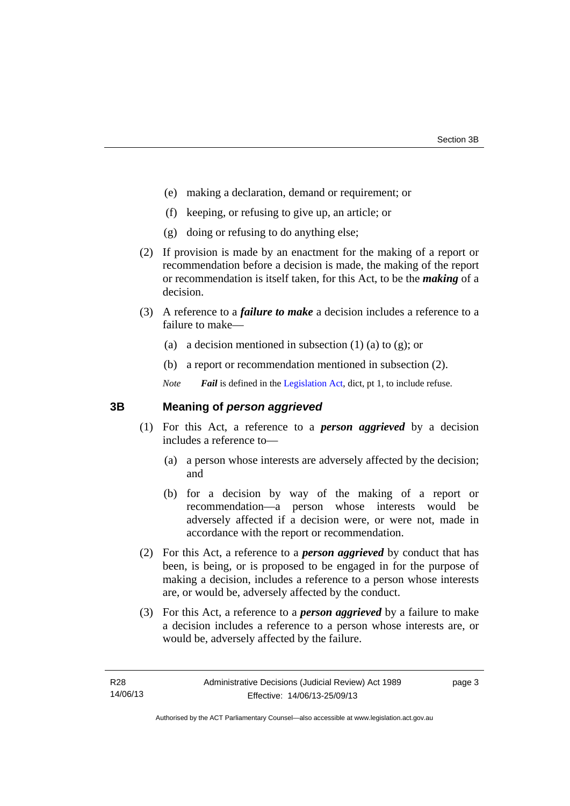- (e) making a declaration, demand or requirement; or
- (f) keeping, or refusing to give up, an article; or
- (g) doing or refusing to do anything else;
- (2) If provision is made by an enactment for the making of a report or recommendation before a decision is made, the making of the report or recommendation is itself taken, for this Act, to be the *making* of a decision.
- (3) A reference to a *failure to make* a decision includes a reference to a failure to make—
	- (a) a decision mentioned in subsection  $(1)$  (a) to  $(g)$ ; or
	- (b) a report or recommendation mentioned in subsection (2).
	- *Note Fail* is defined in the [Legislation Act](http://www.legislation.act.gov.au/a/2001-14), dict, pt 1, to include refuse.

## <span id="page-6-0"></span>**3B Meaning of** *person aggrieved*

- (1) For this Act, a reference to a *person aggrieved* by a decision includes a reference to—
	- (a) a person whose interests are adversely affected by the decision; and
	- (b) for a decision by way of the making of a report or recommendation—a person whose interests would be adversely affected if a decision were, or were not, made in accordance with the report or recommendation.
- (2) For this Act, a reference to a *person aggrieved* by conduct that has been, is being, or is proposed to be engaged in for the purpose of making a decision, includes a reference to a person whose interests are, or would be, adversely affected by the conduct.
- (3) For this Act, a reference to a *person aggrieved* by a failure to make a decision includes a reference to a person whose interests are, or would be, adversely affected by the failure.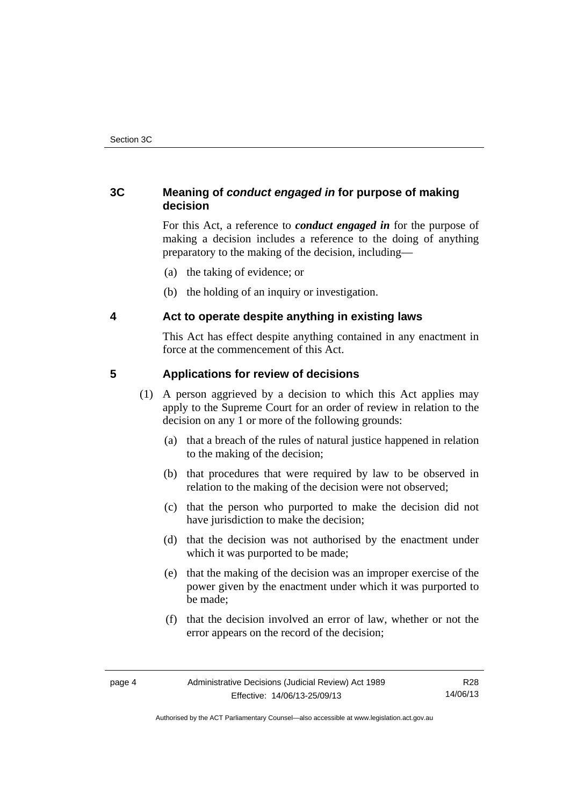# <span id="page-7-0"></span>**3C Meaning of** *conduct engaged in* **for purpose of making decision**

For this Act, a reference to *conduct engaged in* for the purpose of making a decision includes a reference to the doing of anything preparatory to the making of the decision, including—

- (a) the taking of evidence; or
- (b) the holding of an inquiry or investigation.

## <span id="page-7-1"></span>**4 Act to operate despite anything in existing laws**

This Act has effect despite anything contained in any enactment in force at the commencement of this Act.

## <span id="page-7-2"></span>**5 Applications for review of decisions**

- (1) A person aggrieved by a decision to which this Act applies may apply to the Supreme Court for an order of review in relation to the decision on any 1 or more of the following grounds:
	- (a) that a breach of the rules of natural justice happened in relation to the making of the decision;
	- (b) that procedures that were required by law to be observed in relation to the making of the decision were not observed;
	- (c) that the person who purported to make the decision did not have jurisdiction to make the decision;
	- (d) that the decision was not authorised by the enactment under which it was purported to be made;
	- (e) that the making of the decision was an improper exercise of the power given by the enactment under which it was purported to be made;
	- (f) that the decision involved an error of law, whether or not the error appears on the record of the decision;

Authorised by the ACT Parliamentary Counsel—also accessible at www.legislation.act.gov.au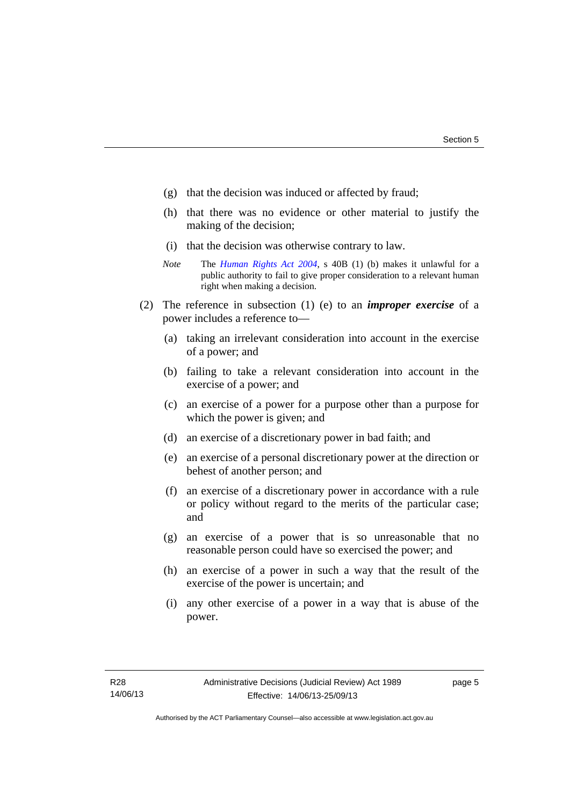- (g) that the decision was induced or affected by fraud;
- (h) that there was no evidence or other material to justify the making of the decision;
- (i) that the decision was otherwise contrary to law.
- *Note* The *[Human Rights Act 2004](http://www.legislation.act.gov.au/a/2004-5)*, s 40B (1) (b) makes it unlawful for a public authority to fail to give proper consideration to a relevant human right when making a decision.
- (2) The reference in subsection (1) (e) to an *improper exercise* of a power includes a reference to—
	- (a) taking an irrelevant consideration into account in the exercise of a power; and
	- (b) failing to take a relevant consideration into account in the exercise of a power; and
	- (c) an exercise of a power for a purpose other than a purpose for which the power is given; and
	- (d) an exercise of a discretionary power in bad faith; and
	- (e) an exercise of a personal discretionary power at the direction or behest of another person; and
	- (f) an exercise of a discretionary power in accordance with a rule or policy without regard to the merits of the particular case; and
	- (g) an exercise of a power that is so unreasonable that no reasonable person could have so exercised the power; and
	- (h) an exercise of a power in such a way that the result of the exercise of the power is uncertain; and
	- (i) any other exercise of a power in a way that is abuse of the power.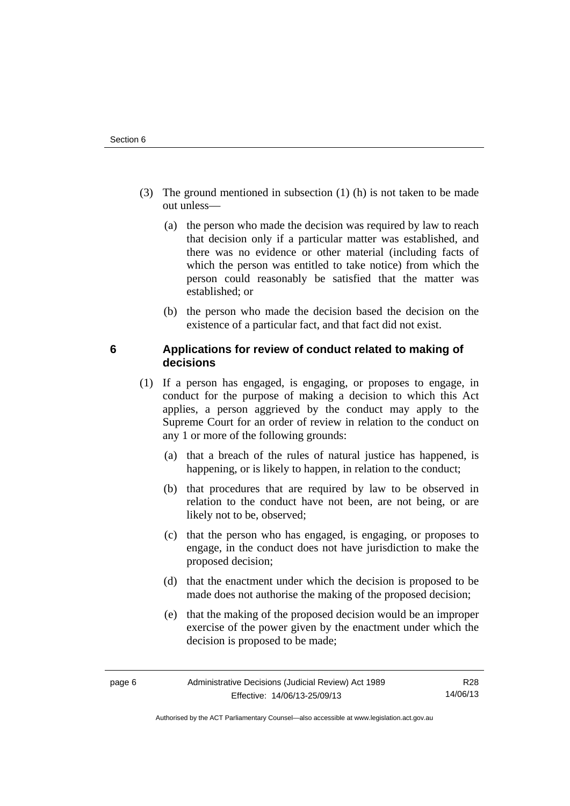- (3) The ground mentioned in subsection (1) (h) is not taken to be made out unless—
	- (a) the person who made the decision was required by law to reach that decision only if a particular matter was established, and there was no evidence or other material (including facts of which the person was entitled to take notice) from which the person could reasonably be satisfied that the matter was established; or
	- (b) the person who made the decision based the decision on the existence of a particular fact, and that fact did not exist.

## <span id="page-9-0"></span>**6 Applications for review of conduct related to making of decisions**

- (1) If a person has engaged, is engaging, or proposes to engage, in conduct for the purpose of making a decision to which this Act applies, a person aggrieved by the conduct may apply to the Supreme Court for an order of review in relation to the conduct on any 1 or more of the following grounds:
	- (a) that a breach of the rules of natural justice has happened, is happening, or is likely to happen, in relation to the conduct;
	- (b) that procedures that are required by law to be observed in relation to the conduct have not been, are not being, or are likely not to be, observed;
	- (c) that the person who has engaged, is engaging, or proposes to engage, in the conduct does not have jurisdiction to make the proposed decision;
	- (d) that the enactment under which the decision is proposed to be made does not authorise the making of the proposed decision;
	- (e) that the making of the proposed decision would be an improper exercise of the power given by the enactment under which the decision is proposed to be made;

Authorised by the ACT Parliamentary Counsel—also accessible at www.legislation.act.gov.au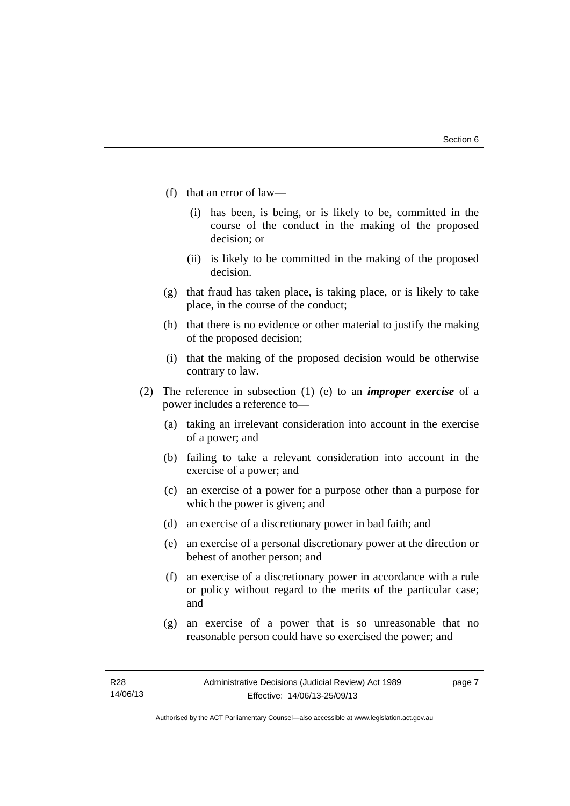- (f) that an error of law—
	- (i) has been, is being, or is likely to be, committed in the course of the conduct in the making of the proposed decision; or
	- (ii) is likely to be committed in the making of the proposed decision.
- (g) that fraud has taken place, is taking place, or is likely to take place, in the course of the conduct;
- (h) that there is no evidence or other material to justify the making of the proposed decision;
- (i) that the making of the proposed decision would be otherwise contrary to law.
- (2) The reference in subsection (1) (e) to an *improper exercise* of a power includes a reference to—
	- (a) taking an irrelevant consideration into account in the exercise of a power; and
	- (b) failing to take a relevant consideration into account in the exercise of a power; and
	- (c) an exercise of a power for a purpose other than a purpose for which the power is given; and
	- (d) an exercise of a discretionary power in bad faith; and
	- (e) an exercise of a personal discretionary power at the direction or behest of another person; and
	- (f) an exercise of a discretionary power in accordance with a rule or policy without regard to the merits of the particular case; and
	- (g) an exercise of a power that is so unreasonable that no reasonable person could have so exercised the power; and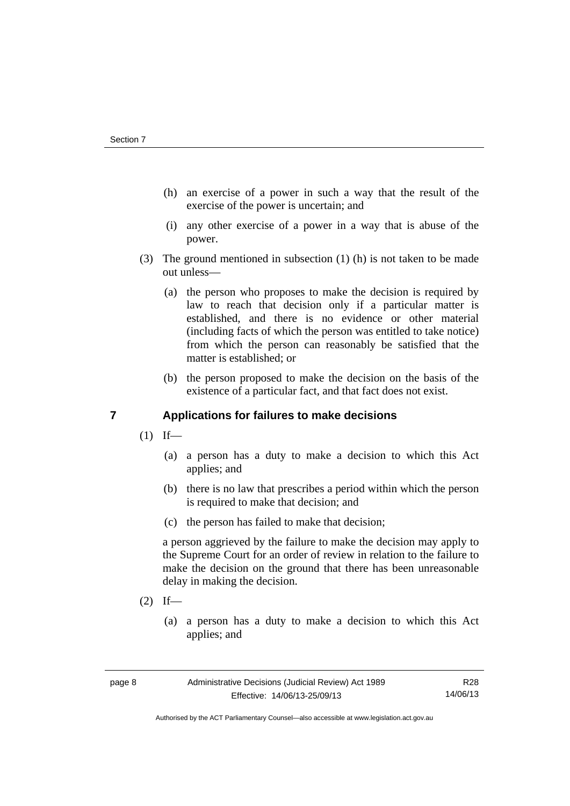- (h) an exercise of a power in such a way that the result of the exercise of the power is uncertain; and
- (i) any other exercise of a power in a way that is abuse of the power.
- (3) The ground mentioned in subsection (1) (h) is not taken to be made out unless—
	- (a) the person who proposes to make the decision is required by law to reach that decision only if a particular matter is established, and there is no evidence or other material (including facts of which the person was entitled to take notice) from which the person can reasonably be satisfied that the matter is established; or
	- (b) the person proposed to make the decision on the basis of the existence of a particular fact, and that fact does not exist.

# <span id="page-11-0"></span>**7 Applications for failures to make decisions**

- $(1)$  If—
	- (a) a person has a duty to make a decision to which this Act applies; and
	- (b) there is no law that prescribes a period within which the person is required to make that decision; and
	- (c) the person has failed to make that decision;

a person aggrieved by the failure to make the decision may apply to the Supreme Court for an order of review in relation to the failure to make the decision on the ground that there has been unreasonable delay in making the decision.

- $(2)$  If—
	- (a) a person has a duty to make a decision to which this Act applies; and

Authorised by the ACT Parliamentary Counsel—also accessible at www.legislation.act.gov.au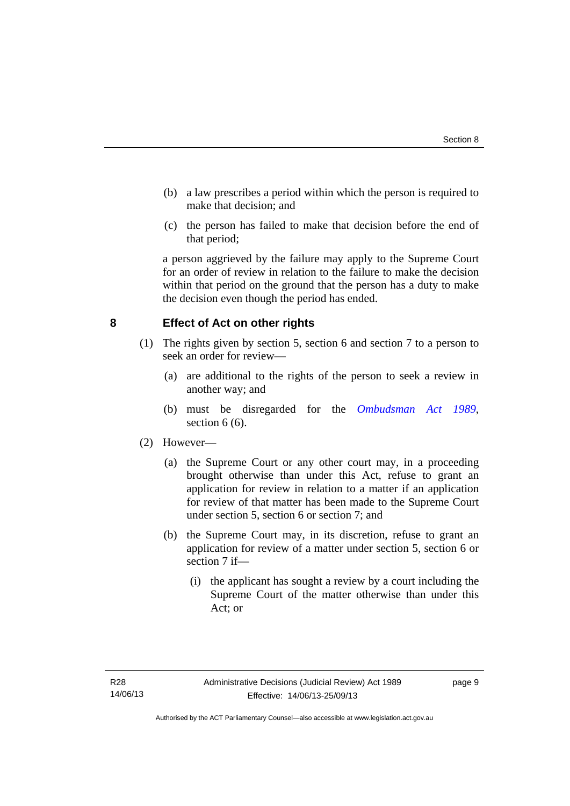- (b) a law prescribes a period within which the person is required to make that decision; and
- (c) the person has failed to make that decision before the end of that period;

a person aggrieved by the failure may apply to the Supreme Court for an order of review in relation to the failure to make the decision within that period on the ground that the person has a duty to make the decision even though the period has ended.

## <span id="page-12-0"></span>**8 Effect of Act on other rights**

- (1) The rights given by section 5, section 6 and section 7 to a person to seek an order for review—
	- (a) are additional to the rights of the person to seek a review in another way; and
	- (b) must be disregarded for the *[Ombudsman Act 1989](http://www.legislation.act.gov.au/a/alt_a1989-45co)*, section  $6(6)$ .

## (2) However—

- (a) the Supreme Court or any other court may, in a proceeding brought otherwise than under this Act, refuse to grant an application for review in relation to a matter if an application for review of that matter has been made to the Supreme Court under section 5, section 6 or section 7; and
- (b) the Supreme Court may, in its discretion, refuse to grant an application for review of a matter under section 5, section 6 or section 7 if—
	- (i) the applicant has sought a review by a court including the Supreme Court of the matter otherwise than under this Act; or

page 9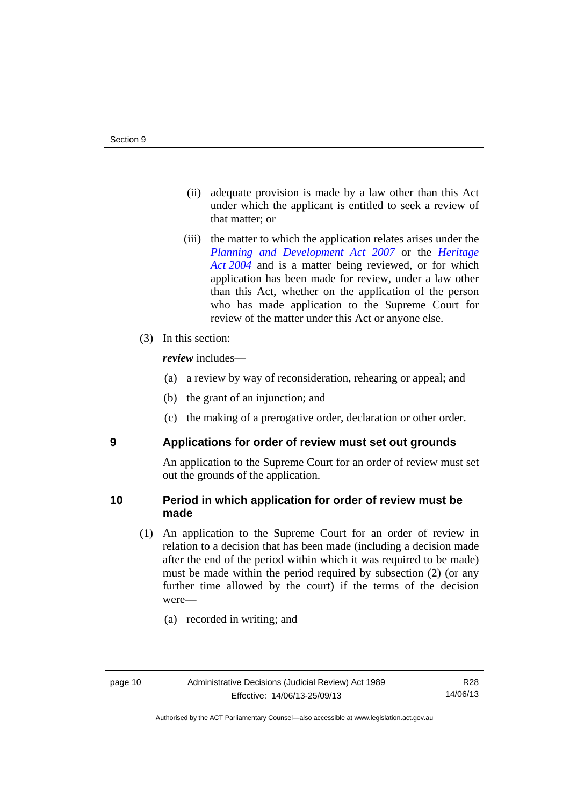- (ii) adequate provision is made by a law other than this Act under which the applicant is entitled to seek a review of that matter; or
- (iii) the matter to which the application relates arises under the *[Planning and Development Act 2007](http://www.legislation.act.gov.au/a/2007-24)* or the *[Heritage](http://www.legislation.act.gov.au/a/2004-57)  [Act 2004](http://www.legislation.act.gov.au/a/2004-57)* and is a matter being reviewed, or for which application has been made for review, under a law other than this Act, whether on the application of the person who has made application to the Supreme Court for review of the matter under this Act or anyone else.
- (3) In this section:

*review* includes—

- (a) a review by way of reconsideration, rehearing or appeal; and
- (b) the grant of an injunction; and
- (c) the making of a prerogative order, declaration or other order.

<span id="page-13-0"></span>

## **9 Applications for order of review must set out grounds**

An application to the Supreme Court for an order of review must set out the grounds of the application.

## <span id="page-13-1"></span>**10 Period in which application for order of review must be made**

- (1) An application to the Supreme Court for an order of review in relation to a decision that has been made (including a decision made after the end of the period within which it was required to be made) must be made within the period required by subsection (2) (or any further time allowed by the court) if the terms of the decision were—
	- (a) recorded in writing; and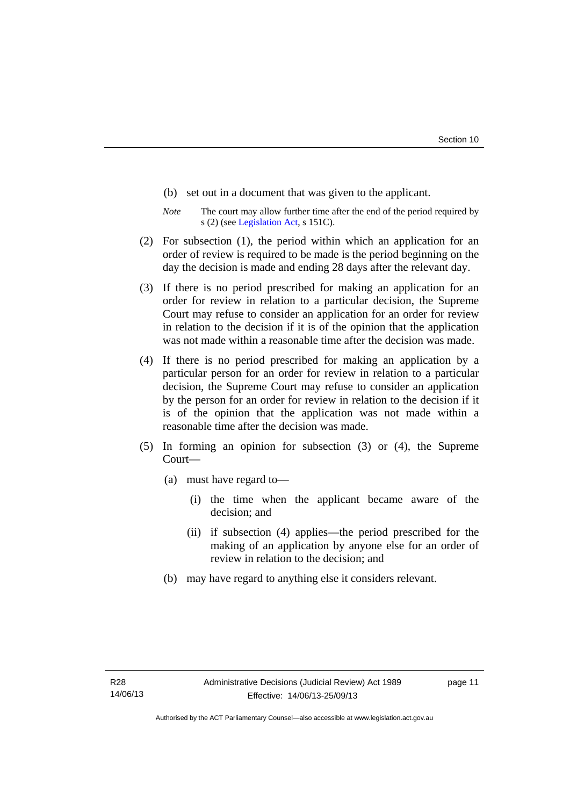- (b) set out in a document that was given to the applicant.
- *Note* The court may allow further time after the end of the period required by s (2) (see [Legislation Act](http://www.legislation.act.gov.au/a/2001-14), s 151C).
- (2) For subsection (1), the period within which an application for an order of review is required to be made is the period beginning on the day the decision is made and ending 28 days after the relevant day.
- (3) If there is no period prescribed for making an application for an order for review in relation to a particular decision, the Supreme Court may refuse to consider an application for an order for review in relation to the decision if it is of the opinion that the application was not made within a reasonable time after the decision was made.
- (4) If there is no period prescribed for making an application by a particular person for an order for review in relation to a particular decision, the Supreme Court may refuse to consider an application by the person for an order for review in relation to the decision if it is of the opinion that the application was not made within a reasonable time after the decision was made.
- (5) In forming an opinion for subsection (3) or (4), the Supreme Court—
	- (a) must have regard to—
		- (i) the time when the applicant became aware of the decision; and
		- (ii) if subsection (4) applies—the period prescribed for the making of an application by anyone else for an order of review in relation to the decision; and
	- (b) may have regard to anything else it considers relevant.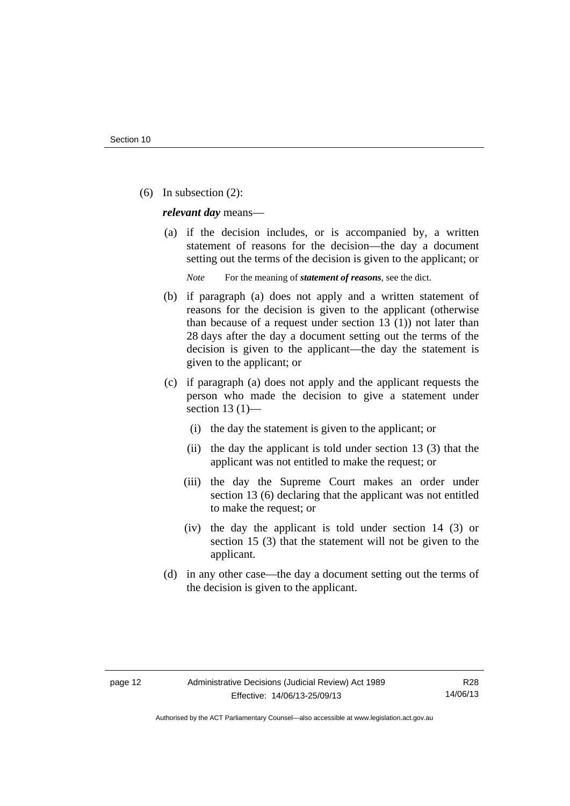(6) In subsection (2):

*relevant day* means—

 (a) if the decision includes, or is accompanied by, a written statement of reasons for the decision—the day a document setting out the terms of the decision is given to the applicant; or

*Note* For the meaning of *statement of reasons*, see the dict.

- (b) if paragraph (a) does not apply and a written statement of reasons for the decision is given to the applicant (otherwise than because of a request under section 13 (1)) not later than 28 days after the day a document setting out the terms of the decision is given to the applicant—the day the statement is given to the applicant; or
- (c) if paragraph (a) does not apply and the applicant requests the person who made the decision to give a statement under section 13 $(1)$ —
	- (i) the day the statement is given to the applicant; or
	- (ii) the day the applicant is told under section 13 (3) that the applicant was not entitled to make the request; or
	- (iii) the day the Supreme Court makes an order under section 13 (6) declaring that the applicant was not entitled to make the request; or
	- (iv) the day the applicant is told under section 14 (3) or section 15 (3) that the statement will not be given to the applicant.
- (d) in any other case—the day a document setting out the terms of the decision is given to the applicant.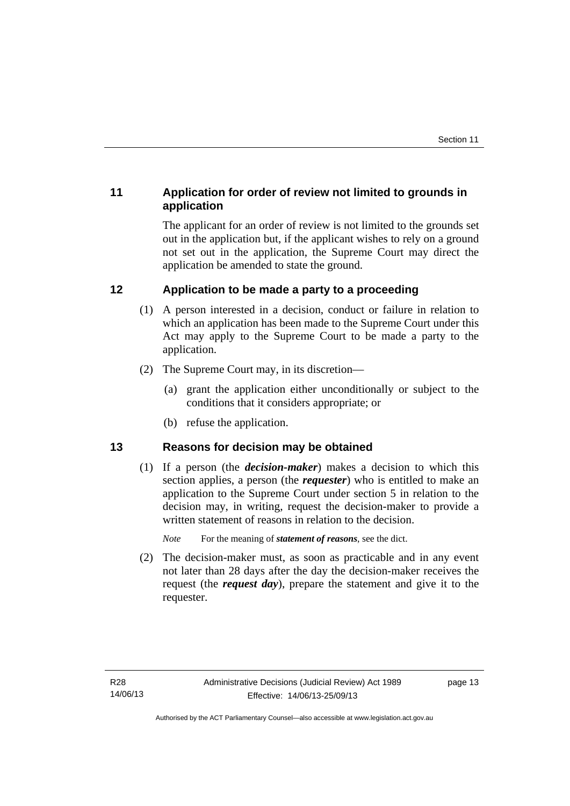# <span id="page-16-0"></span>**11 Application for order of review not limited to grounds in application**

The applicant for an order of review is not limited to the grounds set out in the application but, if the applicant wishes to rely on a ground not set out in the application, the Supreme Court may direct the application be amended to state the ground.

# <span id="page-16-1"></span>**12 Application to be made a party to a proceeding**

- (1) A person interested in a decision, conduct or failure in relation to which an application has been made to the Supreme Court under this Act may apply to the Supreme Court to be made a party to the application.
- (2) The Supreme Court may, in its discretion—
	- (a) grant the application either unconditionally or subject to the conditions that it considers appropriate; or
	- (b) refuse the application.

# <span id="page-16-2"></span>**13 Reasons for decision may be obtained**

(1) If a person (the *decision-maker*) makes a decision to which this section applies, a person (the *requester*) who is entitled to make an application to the Supreme Court under section 5 in relation to the decision may, in writing, request the decision-maker to provide a written statement of reasons in relation to the decision.

*Note* For the meaning of *statement of reasons*, see the dict.

 (2) The decision-maker must, as soon as practicable and in any event not later than 28 days after the day the decision-maker receives the request (the *request day*), prepare the statement and give it to the requester.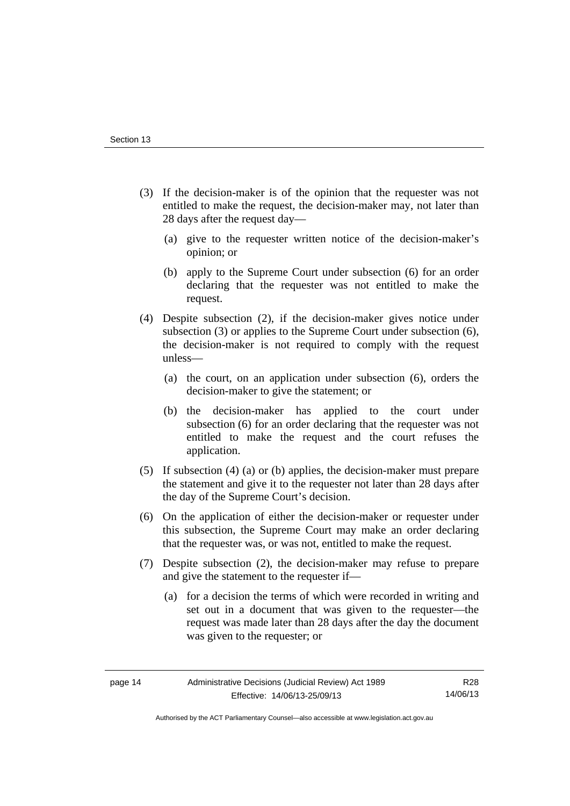- (3) If the decision-maker is of the opinion that the requester was not entitled to make the request, the decision-maker may, not later than 28 days after the request day—
	- (a) give to the requester written notice of the decision-maker's opinion; or
	- (b) apply to the Supreme Court under subsection (6) for an order declaring that the requester was not entitled to make the request.
- (4) Despite subsection (2), if the decision-maker gives notice under subsection (3) or applies to the Supreme Court under subsection (6), the decision-maker is not required to comply with the request unless—
	- (a) the court, on an application under subsection (6), orders the decision-maker to give the statement; or
	- (b) the decision-maker has applied to the court under subsection (6) for an order declaring that the requester was not entitled to make the request and the court refuses the application.
- (5) If subsection (4) (a) or (b) applies, the decision-maker must prepare the statement and give it to the requester not later than 28 days after the day of the Supreme Court's decision.
- (6) On the application of either the decision-maker or requester under this subsection, the Supreme Court may make an order declaring that the requester was, or was not, entitled to make the request.
- (7) Despite subsection (2), the decision-maker may refuse to prepare and give the statement to the requester if—
	- (a) for a decision the terms of which were recorded in writing and set out in a document that was given to the requester—the request was made later than 28 days after the day the document was given to the requester; or

Authorised by the ACT Parliamentary Counsel—also accessible at www.legislation.act.gov.au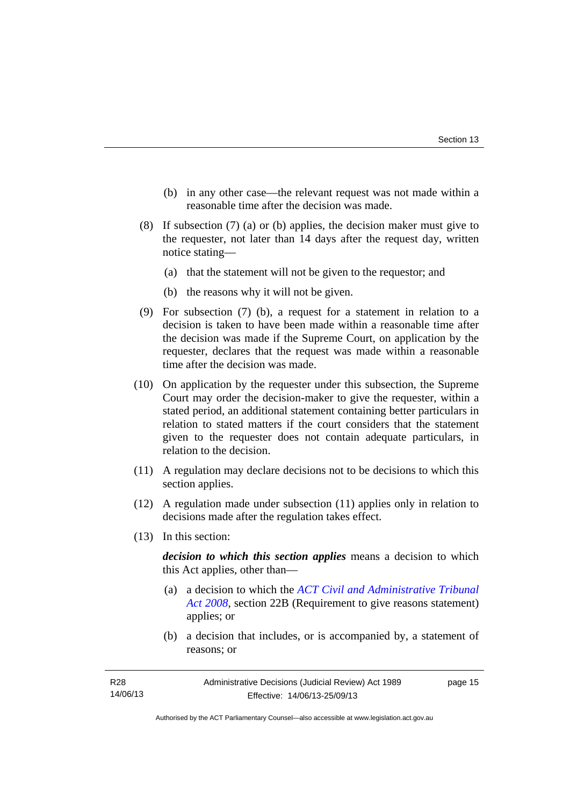- (b) in any other case—the relevant request was not made within a reasonable time after the decision was made.
- (8) If subsection (7) (a) or (b) applies, the decision maker must give to the requester, not later than 14 days after the request day, written notice stating—
	- (a) that the statement will not be given to the requestor; and
	- (b) the reasons why it will not be given.
- (9) For subsection (7) (b), a request for a statement in relation to a decision is taken to have been made within a reasonable time after the decision was made if the Supreme Court, on application by the requester, declares that the request was made within a reasonable time after the decision was made.
- (10) On application by the requester under this subsection, the Supreme Court may order the decision-maker to give the requester, within a stated period, an additional statement containing better particulars in relation to stated matters if the court considers that the statement given to the requester does not contain adequate particulars, in relation to the decision.
- (11) A regulation may declare decisions not to be decisions to which this section applies.
- (12) A regulation made under subsection (11) applies only in relation to decisions made after the regulation takes effect.
- (13) In this section:

*decision to which this section applies* means a decision to which this Act applies, other than—

- (a) a decision to which the *[ACT Civil and Administrative Tribunal](http://www.legislation.act.gov.au/a/2008-35)  [Act 2008](http://www.legislation.act.gov.au/a/2008-35)*, section 22B (Requirement to give reasons statement) applies; or
- (b) a decision that includes, or is accompanied by, a statement of reasons; or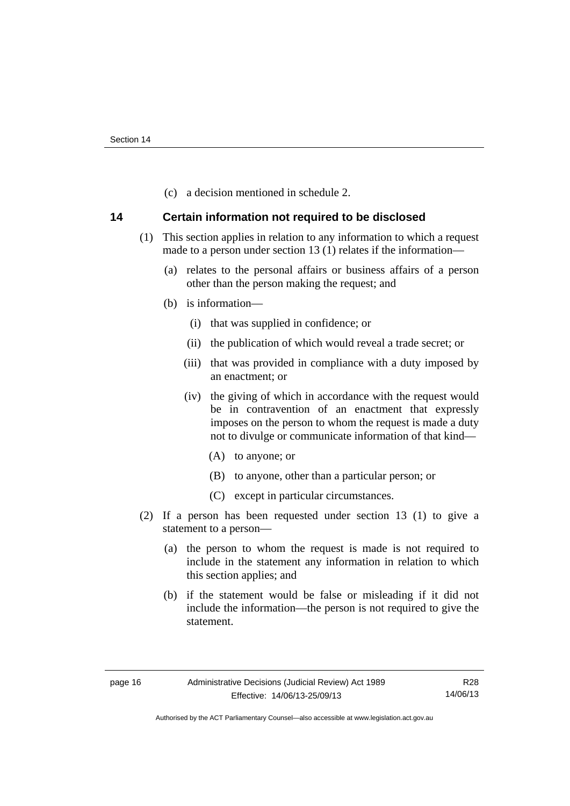(c) a decision mentioned in schedule 2.

## <span id="page-19-0"></span>**14 Certain information not required to be disclosed**

- (1) This section applies in relation to any information to which a request made to a person under section 13 (1) relates if the information—
	- (a) relates to the personal affairs or business affairs of a person other than the person making the request; and
	- (b) is information—
		- (i) that was supplied in confidence; or
		- (ii) the publication of which would reveal a trade secret; or
		- (iii) that was provided in compliance with a duty imposed by an enactment; or
		- (iv) the giving of which in accordance with the request would be in contravention of an enactment that expressly imposes on the person to whom the request is made a duty not to divulge or communicate information of that kind—
			- (A) to anyone; or
			- (B) to anyone, other than a particular person; or
			- (C) except in particular circumstances.
- (2) If a person has been requested under section 13 (1) to give a statement to a person—
	- (a) the person to whom the request is made is not required to include in the statement any information in relation to which this section applies; and
	- (b) if the statement would be false or misleading if it did not include the information—the person is not required to give the statement.

R28 14/06/13

Authorised by the ACT Parliamentary Counsel—also accessible at www.legislation.act.gov.au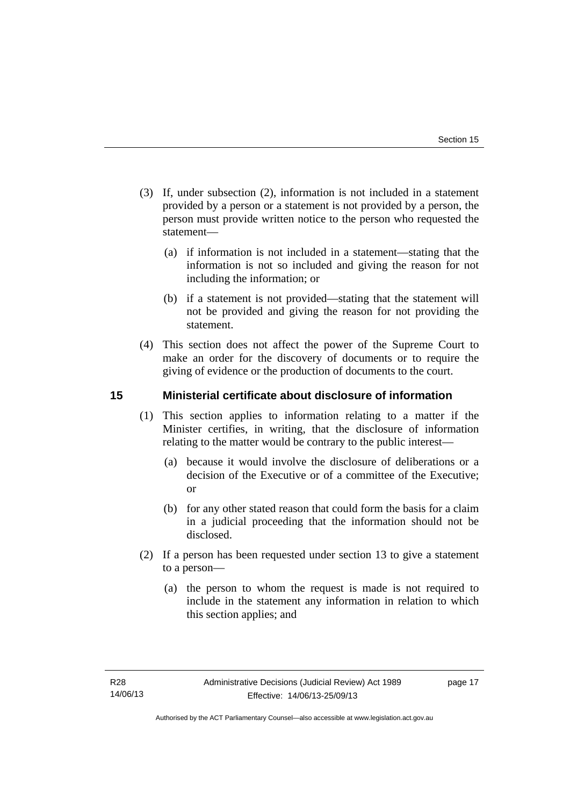- (3) If, under subsection (2), information is not included in a statement provided by a person or a statement is not provided by a person, the person must provide written notice to the person who requested the statement—
	- (a) if information is not included in a statement—stating that the information is not so included and giving the reason for not including the information; or
	- (b) if a statement is not provided—stating that the statement will not be provided and giving the reason for not providing the statement.
- (4) This section does not affect the power of the Supreme Court to make an order for the discovery of documents or to require the giving of evidence or the production of documents to the court.

## <span id="page-20-0"></span>**15 Ministerial certificate about disclosure of information**

- (1) This section applies to information relating to a matter if the Minister certifies, in writing, that the disclosure of information relating to the matter would be contrary to the public interest—
	- (a) because it would involve the disclosure of deliberations or a decision of the Executive or of a committee of the Executive; or
	- (b) for any other stated reason that could form the basis for a claim in a judicial proceeding that the information should not be disclosed.
- (2) If a person has been requested under section 13 to give a statement to a person—
	- (a) the person to whom the request is made is not required to include in the statement any information in relation to which this section applies; and

page 17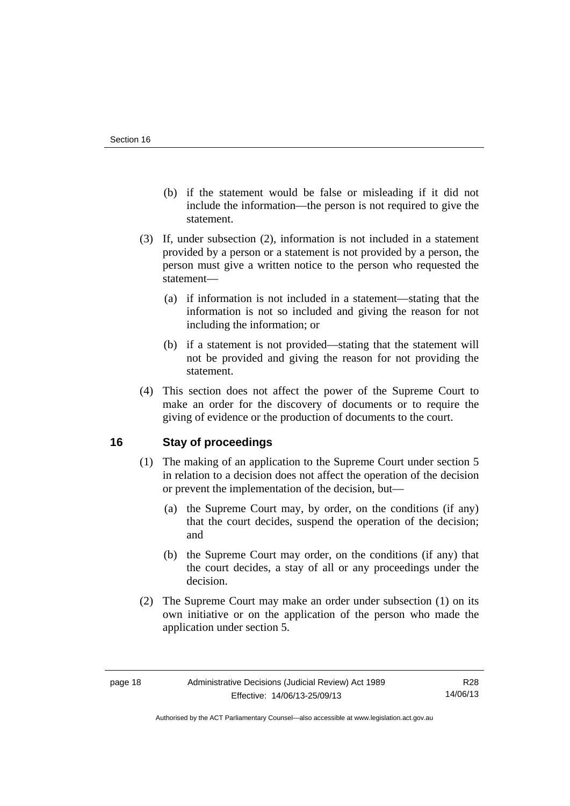- (b) if the statement would be false or misleading if it did not include the information—the person is not required to give the statement.
- (3) If, under subsection (2), information is not included in a statement provided by a person or a statement is not provided by a person, the person must give a written notice to the person who requested the statement—
	- (a) if information is not included in a statement—stating that the information is not so included and giving the reason for not including the information; or
	- (b) if a statement is not provided—stating that the statement will not be provided and giving the reason for not providing the statement.
- (4) This section does not affect the power of the Supreme Court to make an order for the discovery of documents or to require the giving of evidence or the production of documents to the court.

# <span id="page-21-0"></span>**16 Stay of proceedings**

- (1) The making of an application to the Supreme Court under section 5 in relation to a decision does not affect the operation of the decision or prevent the implementation of the decision, but—
	- (a) the Supreme Court may, by order, on the conditions (if any) that the court decides, suspend the operation of the decision; and
	- (b) the Supreme Court may order, on the conditions (if any) that the court decides, a stay of all or any proceedings under the decision.
- (2) The Supreme Court may make an order under subsection (1) on its own initiative or on the application of the person who made the application under section 5.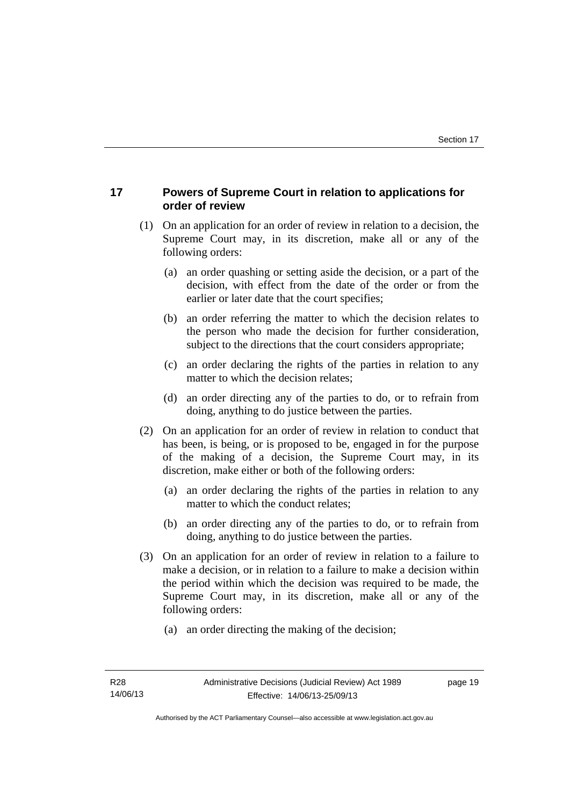# <span id="page-22-0"></span>**17 Powers of Supreme Court in relation to applications for order of review**

- (1) On an application for an order of review in relation to a decision, the Supreme Court may, in its discretion, make all or any of the following orders:
	- (a) an order quashing or setting aside the decision, or a part of the decision, with effect from the date of the order or from the earlier or later date that the court specifies;
	- (b) an order referring the matter to which the decision relates to the person who made the decision for further consideration, subject to the directions that the court considers appropriate;
	- (c) an order declaring the rights of the parties in relation to any matter to which the decision relates;
	- (d) an order directing any of the parties to do, or to refrain from doing, anything to do justice between the parties.
- (2) On an application for an order of review in relation to conduct that has been, is being, or is proposed to be, engaged in for the purpose of the making of a decision, the Supreme Court may, in its discretion, make either or both of the following orders:
	- (a) an order declaring the rights of the parties in relation to any matter to which the conduct relates;
	- (b) an order directing any of the parties to do, or to refrain from doing, anything to do justice between the parties.
- (3) On an application for an order of review in relation to a failure to make a decision, or in relation to a failure to make a decision within the period within which the decision was required to be made, the Supreme Court may, in its discretion, make all or any of the following orders:
	- (a) an order directing the making of the decision;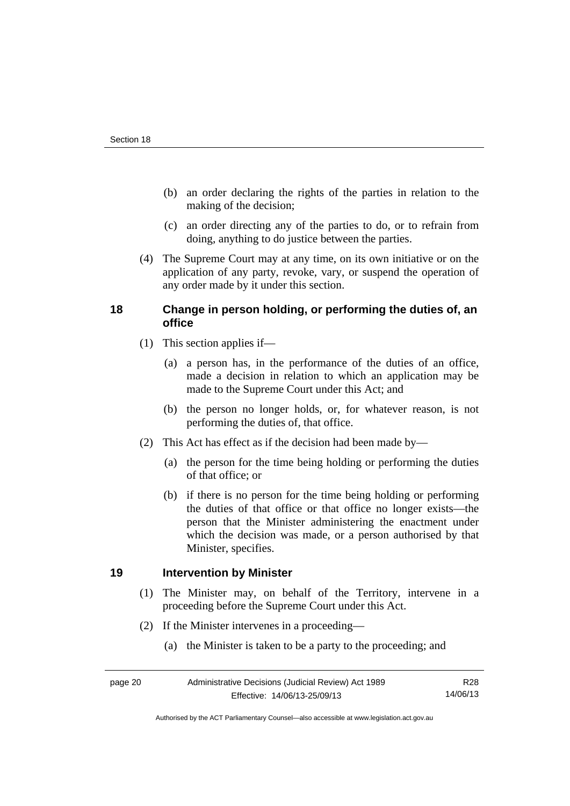- (b) an order declaring the rights of the parties in relation to the making of the decision;
- (c) an order directing any of the parties to do, or to refrain from doing, anything to do justice between the parties.
- (4) The Supreme Court may at any time, on its own initiative or on the application of any party, revoke, vary, or suspend the operation of any order made by it under this section.

## <span id="page-23-0"></span>**18 Change in person holding, or performing the duties of, an office**

- (1) This section applies if—
	- (a) a person has, in the performance of the duties of an office, made a decision in relation to which an application may be made to the Supreme Court under this Act; and
	- (b) the person no longer holds, or, for whatever reason, is not performing the duties of, that office.
- (2) This Act has effect as if the decision had been made by—
	- (a) the person for the time being holding or performing the duties of that office; or
	- (b) if there is no person for the time being holding or performing the duties of that office or that office no longer exists—the person that the Minister administering the enactment under which the decision was made, or a person authorised by that Minister, specifies.

## <span id="page-23-1"></span>**19 Intervention by Minister**

- (1) The Minister may, on behalf of the Territory, intervene in a proceeding before the Supreme Court under this Act.
- (2) If the Minister intervenes in a proceeding—
	- (a) the Minister is taken to be a party to the proceeding; and

Authorised by the ACT Parliamentary Counsel—also accessible at www.legislation.act.gov.au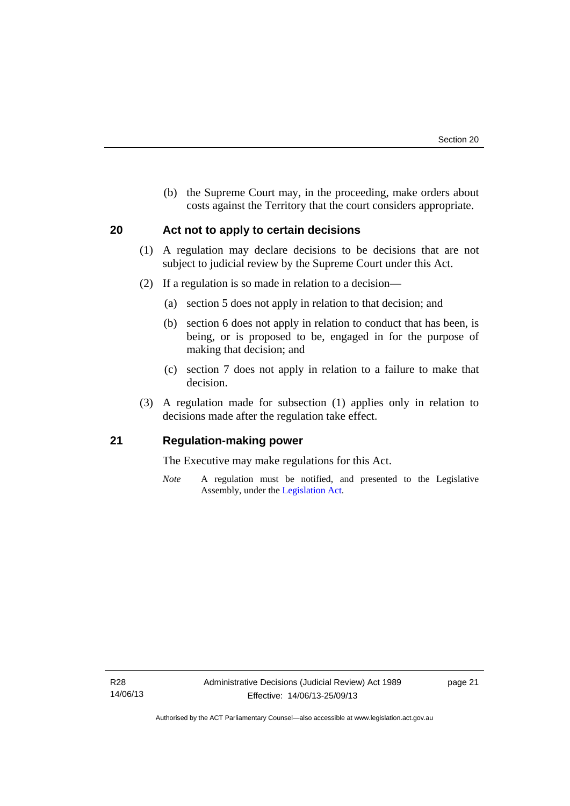(b) the Supreme Court may, in the proceeding, make orders about costs against the Territory that the court considers appropriate.

## <span id="page-24-0"></span>**20 Act not to apply to certain decisions**

- (1) A regulation may declare decisions to be decisions that are not subject to judicial review by the Supreme Court under this Act.
- (2) If a regulation is so made in relation to a decision—
	- (a) section 5 does not apply in relation to that decision; and
	- (b) section 6 does not apply in relation to conduct that has been, is being, or is proposed to be, engaged in for the purpose of making that decision; and
	- (c) section 7 does not apply in relation to a failure to make that decision.
- (3) A regulation made for subsection (1) applies only in relation to decisions made after the regulation take effect.

## <span id="page-24-1"></span>**21 Regulation-making power**

The Executive may make regulations for this Act.

*Note* A regulation must be notified, and presented to the Legislative Assembly, under the [Legislation Act](http://www.legislation.act.gov.au/a/2001-14).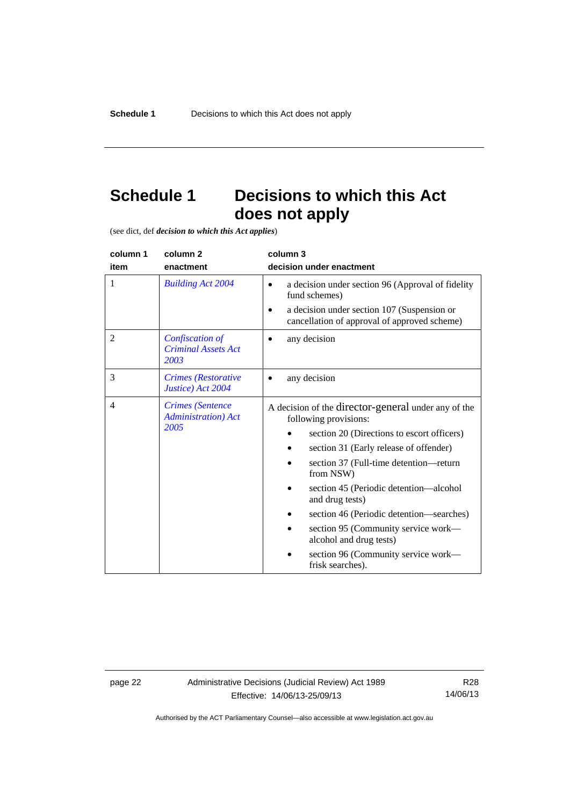# <span id="page-25-0"></span>**Schedule 1 Decisions to which this Act does not apply**

(see dict, def *decision to which this Act applies*)

| column 1       | column 2                                                       | column 3                                                                                                                                                                                                                                                                                                                                                                                                                                                          |
|----------------|----------------------------------------------------------------|-------------------------------------------------------------------------------------------------------------------------------------------------------------------------------------------------------------------------------------------------------------------------------------------------------------------------------------------------------------------------------------------------------------------------------------------------------------------|
| item           | enactment                                                      | decision under enactment                                                                                                                                                                                                                                                                                                                                                                                                                                          |
| 1              | <b>Building Act 2004</b>                                       | a decision under section 96 (Approval of fidelity<br>$\bullet$<br>fund schemes)<br>a decision under section 107 (Suspension or<br>cancellation of approval of approved scheme)                                                                                                                                                                                                                                                                                    |
| $\overline{2}$ | Confiscation of<br><b>Criminal Assets Act</b><br>2003          | any decision                                                                                                                                                                                                                                                                                                                                                                                                                                                      |
| 3              | Crimes (Restorative<br>Justice) Act 2004                       | any decision                                                                                                                                                                                                                                                                                                                                                                                                                                                      |
| $\overline{4}$ | <b>Crimes</b> (Sentence<br><b>Administration</b> ) Act<br>2005 | A decision of the director-general under any of the<br>following provisions:<br>section 20 (Directions to escort officers)<br>section 31 (Early release of offender)<br>section 37 (Full-time detention—return<br>from NSW)<br>section 45 (Periodic detention—alcohol<br>and drug tests)<br>section 46 (Periodic detention—searches)<br>section 95 (Community service work—<br>alcohol and drug tests)<br>section 96 (Community service work-<br>frisk searches). |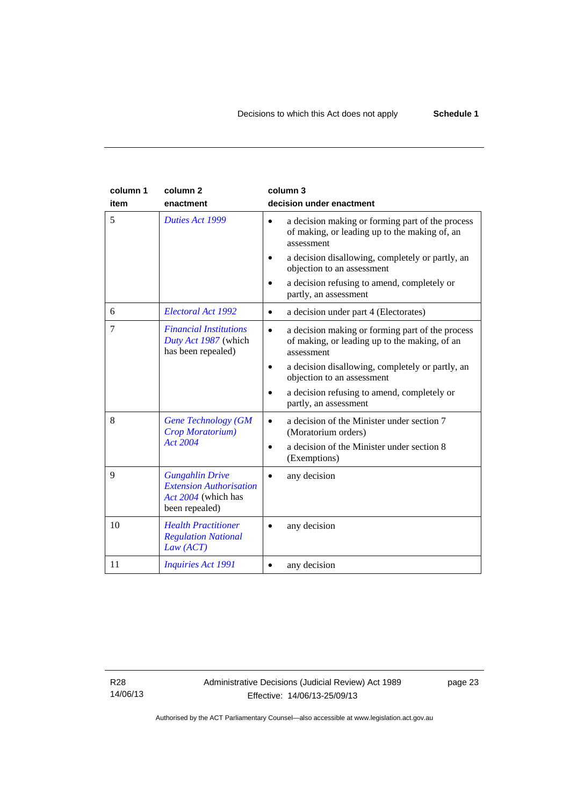| column 1<br>item | column <sub>2</sub><br>enactment                                                                  | column 3<br>decision under enactment                                                                                         |
|------------------|---------------------------------------------------------------------------------------------------|------------------------------------------------------------------------------------------------------------------------------|
| 5                | Duties Act 1999                                                                                   | a decision making or forming part of the process<br>$\bullet$<br>of making, or leading up to the making of, an<br>assessment |
|                  |                                                                                                   | a decision disallowing, completely or partly, an<br>objection to an assessment                                               |
|                  |                                                                                                   | a decision refusing to amend, completely or<br>partly, an assessment                                                         |
| 6                | Electoral Act 1992                                                                                | a decision under part 4 (Electorates)<br>$\bullet$                                                                           |
| 7                | <b>Financial Institutions</b><br>Duty Act 1987 (which<br>has been repealed)                       | a decision making or forming part of the process<br>$\bullet$<br>of making, or leading up to the making, of an<br>assessment |
|                  |                                                                                                   | a decision disallowing, completely or partly, an<br>$\bullet$<br>objection to an assessment                                  |
|                  |                                                                                                   | a decision refusing to amend, completely or<br>partly, an assessment                                                         |
| 8                | <b>Gene Technology (GM</b><br>Crop Moratorium)                                                    | a decision of the Minister under section 7<br>(Moratorium orders)                                                            |
|                  | Act 2004                                                                                          | a decision of the Minister under section 8<br>(Exemptions)                                                                   |
| 9                | <b>Gungahlin Drive</b><br><b>Extension Authorisation</b><br>Act 2004 (which has<br>been repealed) | any decision                                                                                                                 |
| 10               | <b>Health Practitioner</b><br><b>Regulation National</b><br>Law (ACT)                             | any decision                                                                                                                 |
| 11               | <b>Inquiries Act 1991</b>                                                                         | any decision                                                                                                                 |

R28 14/06/13 page 23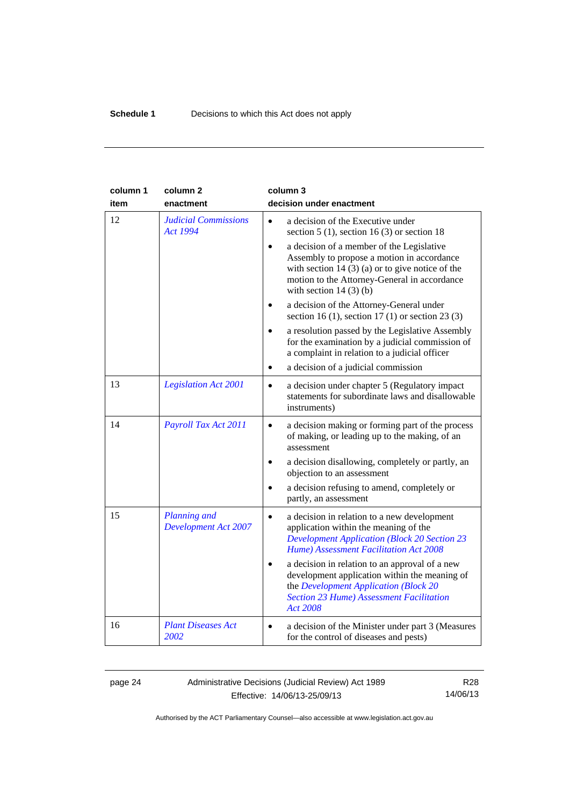| column 1<br>item | column <sub>2</sub><br>enactment                   | column 3<br>decision under enactment                                                                                                                                                                                                  |
|------------------|----------------------------------------------------|---------------------------------------------------------------------------------------------------------------------------------------------------------------------------------------------------------------------------------------|
| 12               | <b>Judicial Commissions</b><br><b>Act 1994</b>     | a decision of the Executive under<br>$\bullet$<br>section 5 (1), section 16 (3) or section 18                                                                                                                                         |
|                  |                                                    | a decision of a member of the Legislative<br>$\bullet$<br>Assembly to propose a motion in accordance<br>with section 14 $(3)$ (a) or to give notice of the<br>motion to the Attorney-General in accordance<br>with section $14(3)(b)$ |
|                  |                                                    | a decision of the Attorney-General under<br>section 16 (1), section 17 (1) or section 23 (3)                                                                                                                                          |
|                  |                                                    | a resolution passed by the Legislative Assembly<br>for the examination by a judicial commission of<br>a complaint in relation to a judicial officer                                                                                   |
|                  |                                                    | a decision of a judicial commission<br>$\bullet$                                                                                                                                                                                      |
| 13               | <b>Legislation Act 2001</b>                        | a decision under chapter 5 (Regulatory impact<br>$\bullet$<br>statements for subordinate laws and disallowable<br>instruments)                                                                                                        |
| 14               | Payroll Tax Act 2011                               | a decision making or forming part of the process<br>$\bullet$<br>of making, or leading up to the making, of an<br>assessment                                                                                                          |
|                  |                                                    | a decision disallowing, completely or partly, an<br>objection to an assessment                                                                                                                                                        |
|                  |                                                    | a decision refusing to amend, completely or<br>partly, an assessment                                                                                                                                                                  |
| 15               | <b>Planning</b> and<br><b>Development Act 2007</b> | a decision in relation to a new development<br>application within the meaning of the<br><b>Development Application (Block 20 Section 23</b><br>Hume) Assessment Facilitation Act 2008                                                 |
|                  |                                                    | a decision in relation to an approval of a new<br>development application within the meaning of<br>the Development Application (Block 20<br><b>Section 23 Hume) Assessment Facilitation</b><br><b>Act 2008</b>                        |
| 16               | <b>Plant Diseases Act</b><br>2002                  | a decision of the Minister under part 3 (Measures<br>$\bullet$<br>for the control of diseases and pests)                                                                                                                              |

page 24 Administrative Decisions (Judicial Review) Act 1989 Effective: 14/06/13-25/09/13

R28 14/06/13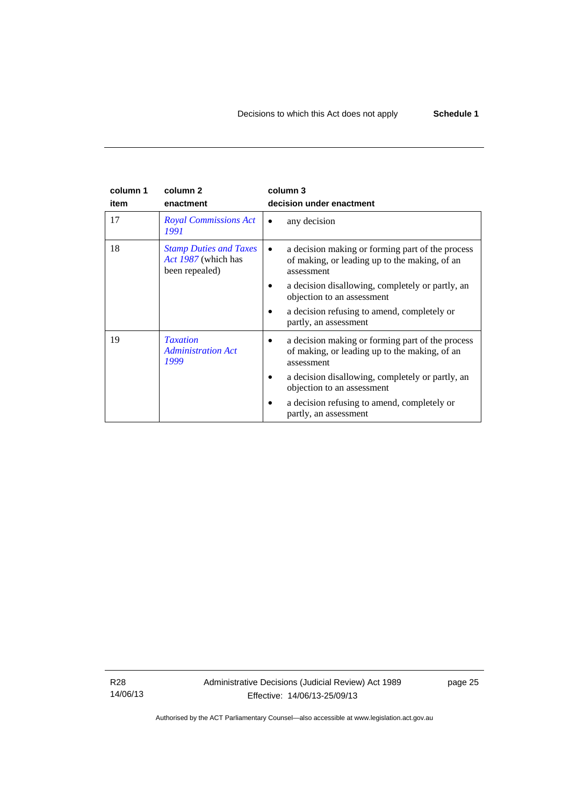#### **column 1 item column 2 enactment column 3 decision under enactment**  17 *[Royal Commissions Act](http://www.legislation.act.gov.au/a/1991-1)  [1991](http://www.legislation.act.gov.au/a/1991-1)* • any decision 18 *[Stamp Duties and Taxes](http://www.legislation.act.gov.au/a/1987-39)  [Act 1987](http://www.legislation.act.gov.au/a/1987-39)* (which has been repealed) • a decision making or forming part of the process of making, or leading up to the making, of an assessment • a decision disallowing, completely or partly, an objection to an assessment • a decision refusing to amend, completely or partly, an assessment 19 *[Taxation](http://www.legislation.act.gov.au/a/1999-4)  [Administration Act](http://www.legislation.act.gov.au/a/1999-4)  [1999](http://www.legislation.act.gov.au/a/1999-4)* • a decision making or forming part of the process of making, or leading up to the making, of an assessment • a decision disallowing, completely or partly, an objection to an assessment • a decision refusing to amend, completely or partly, an assessment

R28 14/06/13 Administrative Decisions (Judicial Review) Act 1989 Effective: 14/06/13-25/09/13

page 25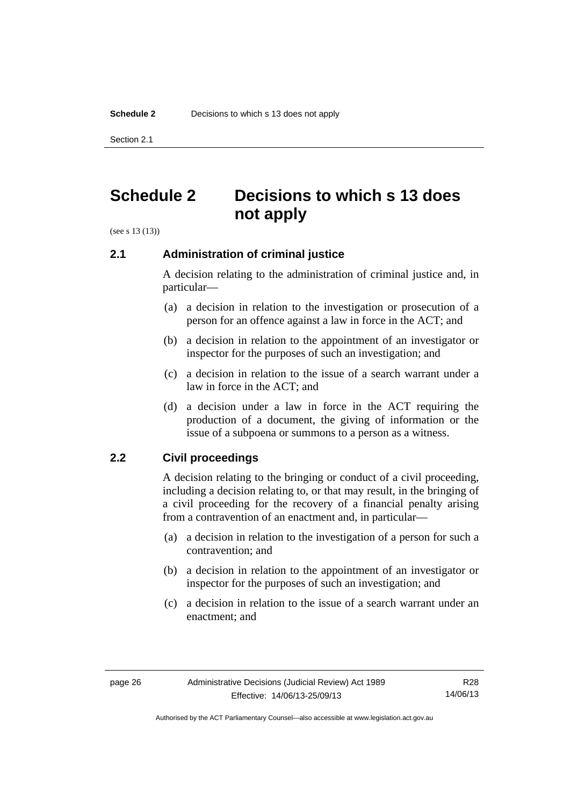Section 2.1

# <span id="page-29-0"></span>**Schedule 2 Decisions to which s 13 does not apply**

(see s 13 (13))

## <span id="page-29-1"></span>**2.1 Administration of criminal justice**

A decision relating to the administration of criminal justice and, in particular—

- (a) a decision in relation to the investigation or prosecution of a person for an offence against a law in force in the ACT; and
- (b) a decision in relation to the appointment of an investigator or inspector for the purposes of such an investigation; and
- (c) a decision in relation to the issue of a search warrant under a law in force in the ACT; and
- (d) a decision under a law in force in the ACT requiring the production of a document, the giving of information or the issue of a subpoena or summons to a person as a witness.

## <span id="page-29-2"></span>**2.2 Civil proceedings**

A decision relating to the bringing or conduct of a civil proceeding, including a decision relating to, or that may result, in the bringing of a civil proceeding for the recovery of a financial penalty arising from a contravention of an enactment and, in particular—

- (a) a decision in relation to the investigation of a person for such a contravention; and
- (b) a decision in relation to the appointment of an investigator or inspector for the purposes of such an investigation; and
- (c) a decision in relation to the issue of a search warrant under an enactment; and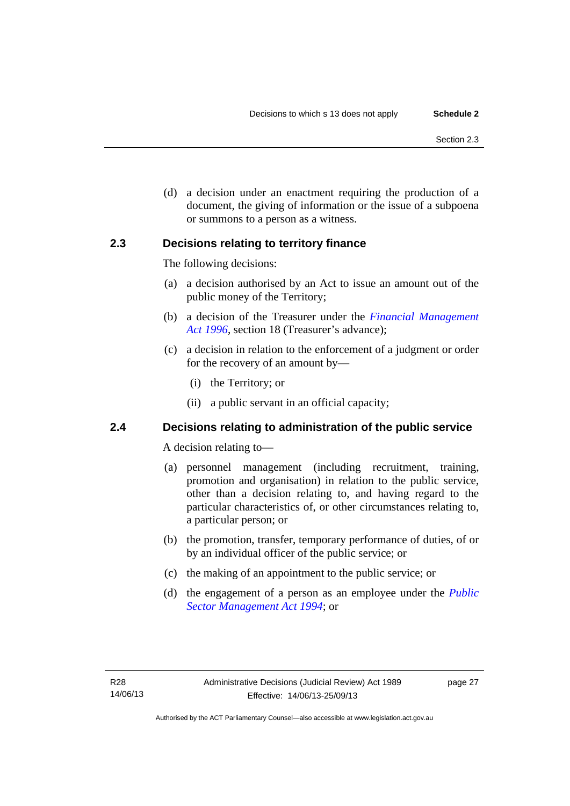(d) a decision under an enactment requiring the production of a document, the giving of information or the issue of a subpoena or summons to a person as a witness.

## <span id="page-30-0"></span>**2.3 Decisions relating to territory finance**

The following decisions:

- (a) a decision authorised by an Act to issue an amount out of the public money of the Territory;
- (b) a decision of the Treasurer under the *[Financial Management](http://www.legislation.act.gov.au/a/1996-22)*  [Act 1996](http://www.legislation.act.gov.au/a/1996-22), section 18 (Treasurer's advance);
- (c) a decision in relation to the enforcement of a judgment or order for the recovery of an amount by—
	- (i) the Territory; or
	- (ii) a public servant in an official capacity;

# <span id="page-30-1"></span>**2.4 Decisions relating to administration of the public service**

A decision relating to—

- (a) personnel management (including recruitment, training, promotion and organisation) in relation to the public service, other than a decision relating to, and having regard to the particular characteristics of, or other circumstances relating to, a particular person; or
- (b) the promotion, transfer, temporary performance of duties, of or by an individual officer of the public service; or
- (c) the making of an appointment to the public service; or
- (d) the engagement of a person as an employee under the *[Public](http://www.legislation.act.gov.au/a/1994-37)  [Sector Management Act 1994](http://www.legislation.act.gov.au/a/1994-37)*; or

page 27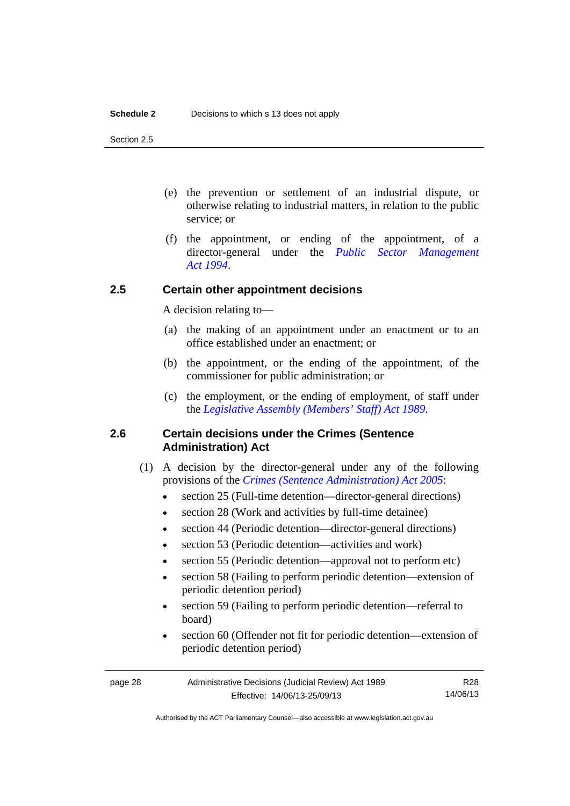Section 2.5

- (e) the prevention or settlement of an industrial dispute, or otherwise relating to industrial matters, in relation to the public service; or
- (f) the appointment, or ending of the appointment, of a director-general under the *[Public Sector Management](http://www.legislation.act.gov.au/a/1994-37)  [Act 1994](http://www.legislation.act.gov.au/a/1994-37)*.

# <span id="page-31-0"></span>**2.5 Certain other appointment decisions**

A decision relating to—

- (a) the making of an appointment under an enactment or to an office established under an enactment; or
- (b) the appointment, or the ending of the appointment, of the commissioner for public administration; or
- (c) the employment, or the ending of employment, of staff under the *[Legislative Assembly \(Members' Staff\) Act 1989](http://www.legislation.act.gov.au/a/1989-19)*.

## <span id="page-31-1"></span>**2.6 Certain decisions under the Crimes (Sentence Administration) Act**

- (1) A decision by the director-general under any of the following provisions of the *[Crimes \(Sentence Administration\) Act 2005](http://www.legislation.act.gov.au/a/2005-59)*:
	- section 25 (Full-time detention—director-general directions)
	- section 28 (Work and activities by full-time detainee)
	- section 44 (Periodic detention—director-general directions)
	- section 53 (Periodic detention—activities and work)
	- section 55 (Periodic detention—approval not to perform etc)
	- section 58 (Failing to perform periodic detention—extension of periodic detention period)
	- section 59 (Failing to perform periodic detention—referral to board)
	- section 60 (Offender not fit for periodic detention—extension of periodic detention period)

page 28 Administrative Decisions (Judicial Review) Act 1989 Effective: 14/06/13-25/09/13 R28 14/06/13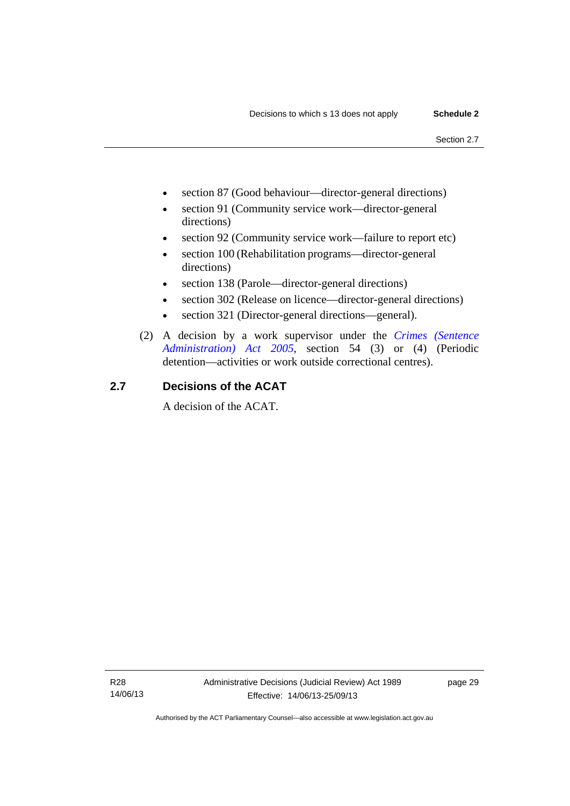- section 87 (Good behaviour—director-general directions)
- section 91 (Community service work—director-general directions)
- section 92 (Community service work—failure to report etc)
- section 100 (Rehabilitation programs—director-general directions)
- section 138 (Parole—director-general directions)
- section 302 (Release on licence—director-general directions)
- section 321 (Director-general directions—general).
- (2) A decision by a work supervisor under the *[Crimes \(Sentence](http://www.legislation.act.gov.au/a/2005-59)  [Administration\) Act 2005](http://www.legislation.act.gov.au/a/2005-59)*, section 54 (3) or (4) (Periodic detention—activities or work outside correctional centres).

# <span id="page-32-0"></span>**2.7 Decisions of the ACAT**

A decision of the ACAT.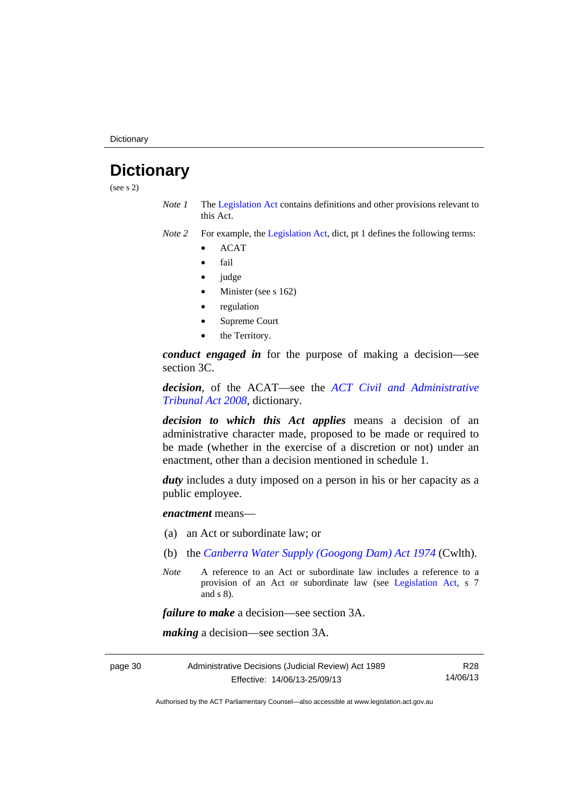**Dictionary** 

# <span id="page-33-0"></span>**Dictionary**

(see s 2)

- *Note 1* The [Legislation Act](http://www.legislation.act.gov.au/a/2001-14) contains definitions and other provisions relevant to this Act.
- *Note 2* For example, the [Legislation Act,](http://www.legislation.act.gov.au/a/2001-14) dict, pt 1 defines the following terms:
	- ACAT
	- fail
	- judge
	- Minister (see s 162)
	- regulation
	- Supreme Court
	- the Territory.

*conduct engaged in* for the purpose of making a decision—see section 3C.

*decision*, of the ACAT—see the *[ACT Civil and Administrative](http://www.legislation.act.gov.au/a/2008-35)  [Tribunal Act 2008](http://www.legislation.act.gov.au/a/2008-35)*, dictionary.

*decision to which this Act applies* means a decision of an administrative character made, proposed to be made or required to be made (whether in the exercise of a discretion or not) under an enactment, other than a decision mentioned in schedule 1.

*duty* includes a duty imposed on a person in his or her capacity as a public employee.

*enactment* means—

- (a) an Act or subordinate law; or
- (b) the *[Canberra Water Supply \(Googong Dam\) Act 1974](http://www.comlaw.gov.au/Details/C2008C00317)* (Cwlth).
- *Note* A reference to an Act or subordinate law includes a reference to a provision of an Act or subordinate law (see [Legislation Act](http://www.legislation.act.gov.au/a/2001-14), s 7 and s 8).

*failure to make* a decision—see section 3A.

*making* a decision—see section 3A.

page 30 Administrative Decisions (Judicial Review) Act 1989 Effective: 14/06/13-25/09/13 R28 14/06/13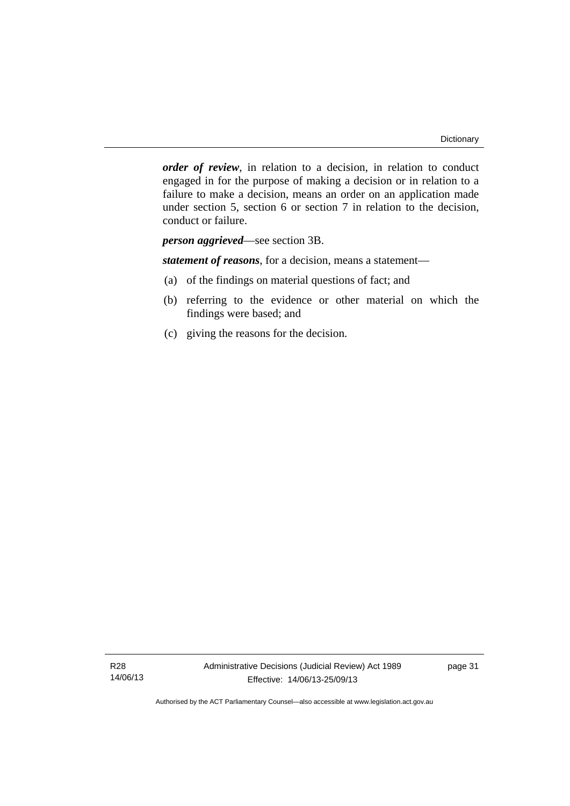*order of review*, in relation to a decision, in relation to conduct engaged in for the purpose of making a decision or in relation to a failure to make a decision, means an order on an application made under section 5, section 6 or section 7 in relation to the decision, conduct or failure.

*person aggrieved*—see section 3B.

*statement of reasons*, for a decision, means a statement—

- (a) of the findings on material questions of fact; and
- (b) referring to the evidence or other material on which the findings were based; and
- (c) giving the reasons for the decision.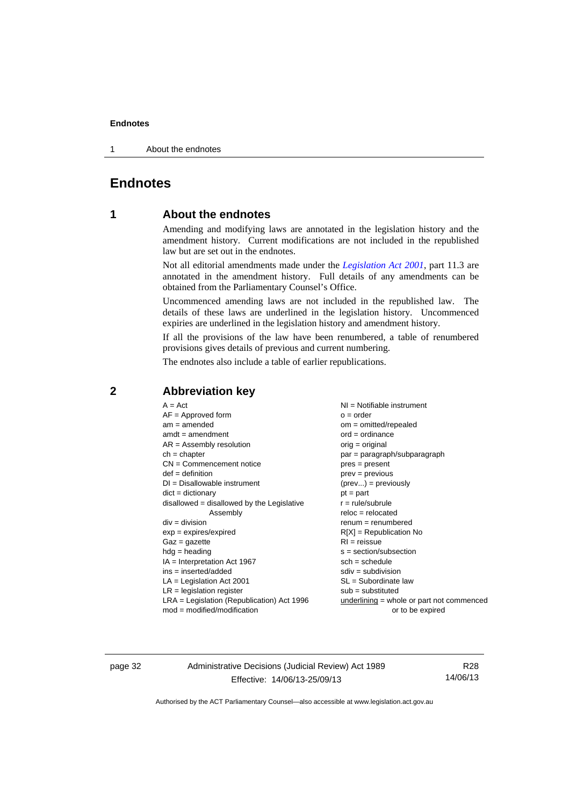1 About the endnotes

# <span id="page-35-0"></span>**Endnotes**

## **1 About the endnotes**

Amending and modifying laws are annotated in the legislation history and the amendment history. Current modifications are not included in the republished law but are set out in the endnotes.

Not all editorial amendments made under the *[Legislation Act 2001](http://www.legislation.act.gov.au/a/2001-14)*, part 11.3 are annotated in the amendment history. Full details of any amendments can be obtained from the Parliamentary Counsel's Office.

Uncommenced amending laws are not included in the republished law. The details of these laws are underlined in the legislation history. Uncommenced expiries are underlined in the legislation history and amendment history.

If all the provisions of the law have been renumbered, a table of renumbered provisions gives details of previous and current numbering.

The endnotes also include a table of earlier republications.

| $A = Act$                                    | $NI = Notifiable$ instrument                |
|----------------------------------------------|---------------------------------------------|
| $AF =$ Approved form                         | $o = order$                                 |
| $am = amended$                               | $om = omitted/repealed$                     |
| $amdt = amendment$                           | $ord = ordinance$                           |
| $AR = Assembly resolution$                   | $orig = original$                           |
| $ch = chapter$                               | par = paragraph/subparagraph                |
| $CN =$ Commencement notice                   | $pres = present$                            |
| $def = definition$                           | $prev = previous$                           |
| $DI = Disallowable instrument$               | $(\text{prev}) = \text{previously}$         |
| $dict = dictionary$                          | $pt = part$                                 |
| $disallowed = disallowed by the Legislative$ | $r = rule/subrule$                          |
| Assembly                                     | $reloc = relocated$                         |
| $div = division$                             | $remum = renumbered$                        |
| $exp = expires/expired$                      | $R[X]$ = Republication No                   |
| $Gaz = gazette$                              | $RI =$ reissue                              |
| $hdg =$ heading                              | s = section/subsection                      |
| $IA = Interpretation Act 1967$               | $sch = schedule$                            |
| ins = inserted/added                         | $sdiv = subdivision$                        |
| $LA =$ Legislation Act 2001                  | $SL = Subordinate$ law                      |
| $LR =$ legislation register                  | $sub =$ substituted                         |
| $LRA =$ Legislation (Republication) Act 1996 | $underlining = whole or part not commenced$ |
| $mod = modified/modification$                | or to be expired                            |
|                                              |                                             |

## <span id="page-35-2"></span>**2 Abbreviation key**

page 32 Administrative Decisions (Judicial Review) Act 1989 Effective: 14/06/13-25/09/13

R28 14/06/13

<span id="page-35-1"></span>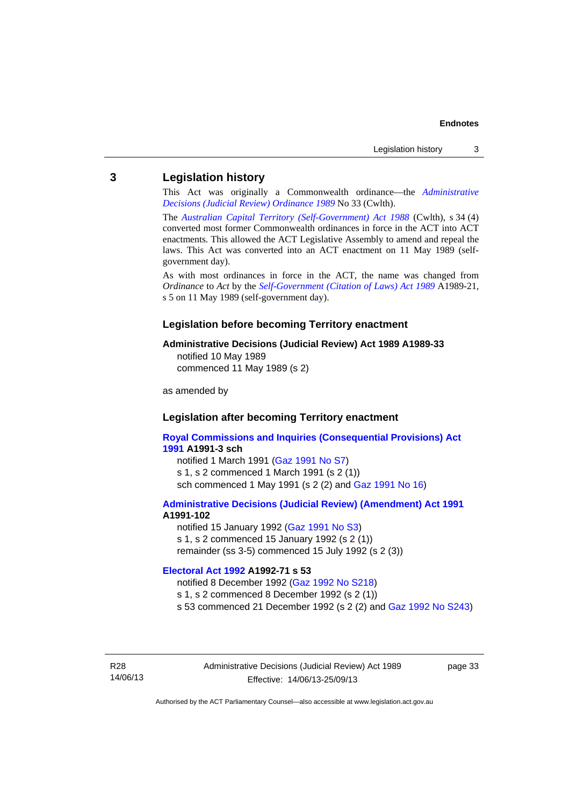## <span id="page-36-0"></span>**3 Legislation history**

This Act was originally a Commonwealth ordinance—the *[Administrative](http://www.legislation.act.gov.au/a/alt_a1989-33co)  [Decisions \(Judicial Review\) Ordinance 1989](http://www.legislation.act.gov.au/a/alt_a1989-33co)* No 33 (Cwlth).

The *[Australian Capital Territory \(Self-Government\) Act 1988](http://www.comlaw.gov.au/Current/C2004A03699)* (Cwlth), s 34 (4) converted most former Commonwealth ordinances in force in the ACT into ACT enactments. This allowed the ACT Legislative Assembly to amend and repeal the laws. This Act was converted into an ACT enactment on 11 May 1989 (selfgovernment day).

As with most ordinances in force in the ACT, the name was changed from *Ordinance* to *Act* by the *[Self-Government \(Citation of Laws\) Act 1989](http://www.legislation.act.gov.au/a/alt_ord1989-21/default.asp)* A1989-21, s 5 on 11 May 1989 (self-government day).

#### **Legislation before becoming Territory enactment**

#### **Administrative Decisions (Judicial Review) Act 1989 A1989-33**

notified 10 May 1989 commenced 11 May 1989 (s 2)

as amended by

## **Legislation after becoming Territory enactment**

**[Royal Commissions and Inquiries \(Consequential Provisions\) Act](http://www.legislation.act.gov.au/a/1991-3)  [1991](http://www.legislation.act.gov.au/a/1991-3) A1991-3 sch**  notified 1 March 1991 [\(Gaz 1991 No S7](http://www.legislation.act.gov.au/gaz/1991-S7/default.asp)) s 1, s 2 commenced 1 March 1991 (s 2 (1))

sch commenced 1 May 1991 (s 2 (2) and [Gaz 1991 No 16](http://www.legislation.act.gov.au/gaz/1991-16/default.asp))

#### **[Administrative Decisions \(Judicial Review\) \(Amendment\) Act 1991](http://www.legislation.act.gov.au/a/1991-102) A1991-102**

notified 15 January 1992 ([Gaz 1991 No S3\)](http://www.legislation.act.gov.au/gaz/1991-S3/default.asp) s 1, s 2 commenced 15 January 1992 (s 2 (1)) remainder (ss 3-5) commenced 15 July 1992 (s 2 (3))

#### **[Electoral Act 1992](http://www.legislation.act.gov.au/a/1992-71) A1992-71 s 53**

notified 8 December 1992 ([Gaz 1992 No S218\)](http://www.legislation.act.gov.au/gaz/1992-S218/default.asp) s 1, s 2 commenced 8 December 1992 (s 2 (1)) s 53 commenced 21 December 1992 (s 2 (2) and [Gaz 1992 No S243\)](http://www.legislation.act.gov.au/gaz/1992-S243/default.asp)

R28 14/06/13 page 33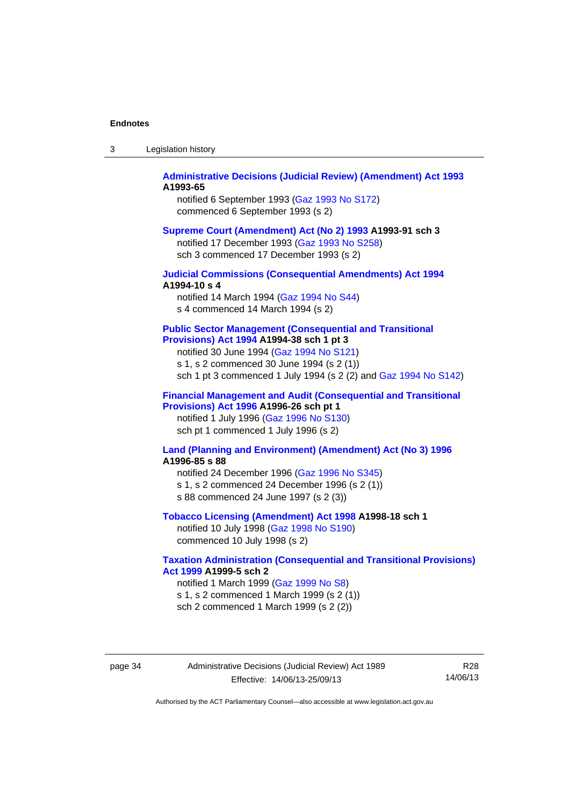| Legislation history<br>-3 |  |
|---------------------------|--|
|---------------------------|--|

### **[Administrative Decisions \(Judicial Review\) \(Amendment\) Act 1993](http://www.legislation.act.gov.au/a/1993-65) A1993-65**

notified 6 September 1993 [\(Gaz 1993 No S172\)](http://www.legislation.act.gov.au/gaz/1993-S172/default.asp) commenced 6 September 1993 (s 2)

#### **[Supreme Court \(Amendment\) Act \(No 2\) 1993](http://www.legislation.act.gov.au/a/1993-91) A1993-91 sch 3**

notified 17 December 1993 [\(Gaz 1993 No S258](http://www.legislation.act.gov.au/gaz/1993-S258/default.asp)) sch 3 commenced 17 December 1993 (s 2)

### **[Judicial Commissions \(Consequential Amendments\) Act 1994](http://www.legislation.act.gov.au/a/1994-10) A1994-10 s 4**

notified 14 March 1994 ([Gaz 1994 No S44](http://www.legislation.act.gov.au/gaz/1994-S44/default.asp)) s 4 commenced 14 March 1994 (s 2)

#### **[Public Sector Management \(Consequential and Transitional](http://www.legislation.act.gov.au/a/1994-38)  [Provisions\) Act 1994](http://www.legislation.act.gov.au/a/1994-38) A1994-38 sch 1 pt 3**

notified 30 June 1994 ([Gaz 1994 No S121\)](http://www.legislation.act.gov.au/gaz/1994-S121/default.asp)

s 1, s 2 commenced 30 June 1994 (s 2 (1))

sch 1 pt 3 commenced 1 July 1994 (s 2 (2) and [Gaz 1994 No S142](http://www.legislation.act.gov.au/gaz/1994-S142/default.asp))

### **[Financial Management and Audit \(Consequential and Transitional](http://www.legislation.act.gov.au/a/1996-26)  [Provisions\) Act 1996](http://www.legislation.act.gov.au/a/1996-26) A1996-26 sch pt 1**

notified 1 July 1996 [\(Gaz 1996 No S130](http://www.legislation.act.gov.au/gaz/1996-S130/default.asp)) sch pt 1 commenced 1 July 1996 (s 2)

#### **[Land \(Planning and Environment\) \(Amendment\) Act \(No 3\) 1996](http://www.legislation.act.gov.au/a/1996-85) A1996-85 s 88**

notified 24 December 1996 [\(Gaz 1996 No S345](http://www.legislation.act.gov.au/gaz/1996-S345/default.asp)) s 1, s 2 commenced 24 December 1996 (s 2 (1)) s 88 commenced 24 June 1997 (s 2 (3))

#### **[Tobacco Licensing \(Amendment\) Act 1998](http://www.legislation.act.gov.au/a/1998-18) A1998-18 sch 1**

notified 10 July 1998 ([Gaz 1998 No S190\)](http://www.legislation.act.gov.au/gaz/1998-S190/default.asp) commenced 10 July 1998 (s 2)

### **[Taxation Administration \(Consequential and Transitional Provisions\)](http://www.legislation.act.gov.au/a/1999-5)  [Act 1999](http://www.legislation.act.gov.au/a/1999-5) A1999-5 sch 2**

notified 1 March 1999 [\(Gaz 1999 No S8](http://www.legislation.act.gov.au/gaz/1999-S8/default.asp)) s 1, s 2 commenced 1 March 1999 (s 2 (1)) sch 2 commenced 1 March 1999 (s 2 (2))

page 34 Administrative Decisions (Judicial Review) Act 1989 Effective: 14/06/13-25/09/13

R28 14/06/13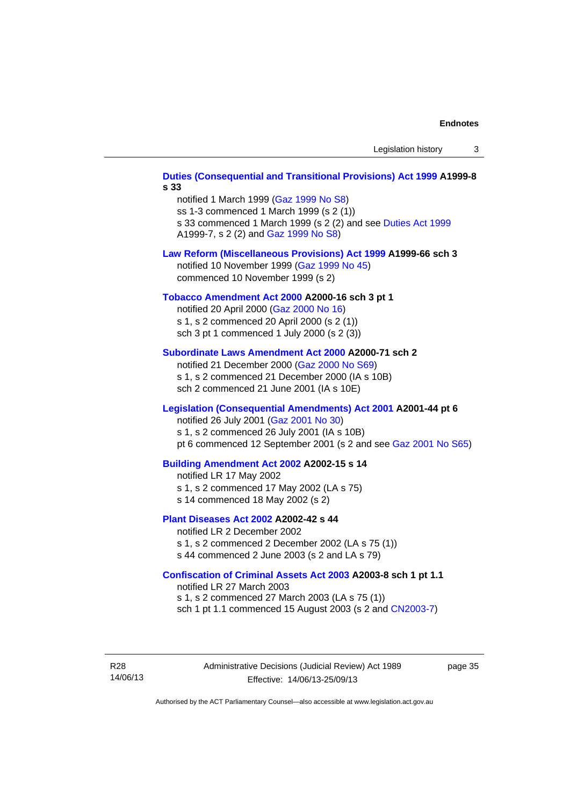# **[Duties \(Consequential and Transitional Provisions\) Act 1999](http://www.legislation.act.gov.au/a/1999-8) A1999-8 s 33**  notified 1 March 1999 [\(Gaz 1999 No S8](http://www.legislation.act.gov.au/gaz/1999-S8/default.asp)) ss 1-3 commenced 1 March 1999 (s 2 (1)) s 33 commenced 1 March 1999 (s 2 (2) and see [Duties Act 1999](http://www.legislation.act.gov.au/a/1999-7) A1999-7, s 2 (2) and [Gaz 1999 No S8\)](http://www.legislation.act.gov.au/gaz/1999-S8/default.asp) **[Law Reform \(Miscellaneous Provisions\) Act 1999](http://www.legislation.act.gov.au/a/1999-66) A1999-66 sch 3**  notified 10 November 1999 [\(Gaz 1999 No 45](http://www.legislation.act.gov.au/gaz/1999-45/default.asp)) commenced 10 November 1999 (s 2) **[Tobacco Amendment Act 2000](http://www.legislation.act.gov.au/a/2000-16) A2000-16 sch 3 pt 1**  notified 20 April 2000 [\(Gaz 2000 No 16\)](http://www.legislation.act.gov.au/gaz/2000-16/default.asp) s 1, s 2 commenced 20 April 2000 (s 2 (1)) sch 3 pt 1 commenced 1 July 2000 (s 2 (3)) **[Subordinate Laws Amendment Act 2000](http://www.legislation.act.gov.au/a/2000-71) A2000-71 sch 2**  notified 21 December 2000 [\(Gaz 2000 No S69\)](http://www.legislation.act.gov.au/gaz/2000-S69/default.asp) s 1, s 2 commenced 21 December 2000 (IA s 10B) sch 2 commenced 21 June 2001 (IA s 10E) **[Legislation \(Consequential Amendments\) Act 2001](http://www.legislation.act.gov.au/a/2001-44) A2001-44 pt 6**  notified 26 July 2001 ([Gaz 2001 No 30\)](http://www.legislation.act.gov.au/gaz/2001-30/default.asp) s 1, s 2 commenced 26 July 2001 (IA s 10B) pt 6 commenced 12 September 2001 (s 2 and see [Gaz 2001 No S65\)](http://www.legislation.act.gov.au/gaz/2001-S65/default.asp) **[Building Amendment Act 2002](http://www.legislation.act.gov.au/a/2002-15) A2002-15 s 14**  notified LR 17 May 2002 s 1, s 2 commenced 17 May 2002 (LA s 75) s 14 commenced 18 May 2002 (s 2) **[Plant Diseases Act 2002](http://www.legislation.act.gov.au/a/2002-42) A2002-42 s 44**  notified LR 2 December 2002 s 1, s 2 commenced 2 December 2002 (LA s 75 (1)) s 44 commenced 2 June 2003 (s 2 and LA s 79) **[Confiscation of Criminal Assets Act 2003](http://www.legislation.act.gov.au/a/2003-8) A2003-8 sch 1 pt 1.1**  notified LR 27 March 2003 s 1, s 2 commenced 27 March 2003 (LA s 75 (1)) sch 1 pt 1.1 commenced 15 August 2003 (s 2 and [CN2003-7](http://www.legislation.act.gov.au/cn/2003-7/default.asp))

R28 14/06/13 page 35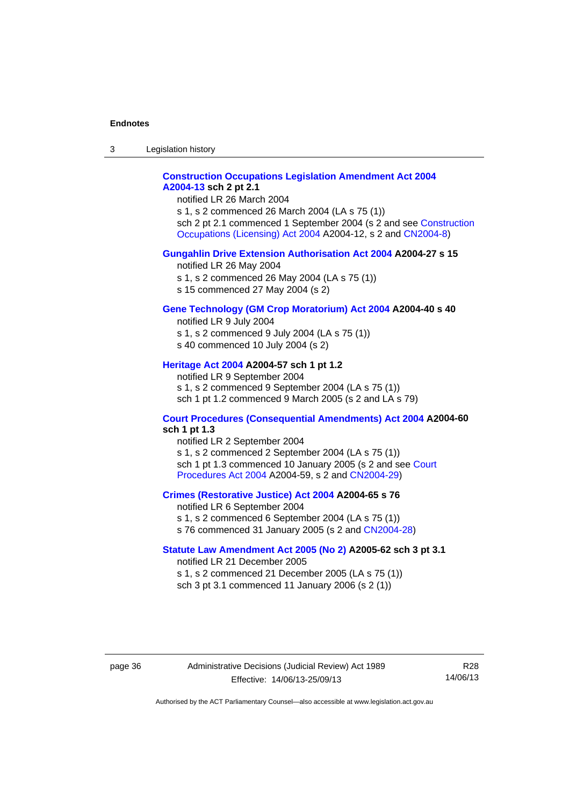3 Legislation history

## **[Construction Occupations Legislation Amendment Act 2004](http://www.legislation.act.gov.au/a/2004-13)  [A2004-13](http://www.legislation.act.gov.au/a/2004-13) sch 2 pt 2.1**

notified LR 26 March 2004

s 1, s 2 commenced 26 March 2004 (LA s 75 (1)) sch 2 pt 2.1 commenced 1 September 2004 (s 2 and see [Construction](http://www.legislation.act.gov.au/a/2004-12)  [Occupations \(Licensing\) Act 2004](http://www.legislation.act.gov.au/a/2004-12) A2004-12, s 2 and [CN2004-8\)](http://www.legislation.act.gov.au/cn/2004-8/default.asp)

### **[Gungahlin Drive Extension Authorisation Act 2004](http://www.legislation.act.gov.au/a/2004-27) A2004-27 s 15**

notified LR 26 May 2004

- s 1, s 2 commenced 26 May 2004 (LA s 75 (1))
- s 15 commenced 27 May 2004 (s 2)

## **[Gene Technology \(GM Crop Moratorium\) Act 2004](http://www.legislation.act.gov.au/a/2004-40) A2004-40 s 40**

notified LR 9 July 2004

- s 1, s 2 commenced 9 July 2004 (LA s 75 (1))
- s 40 commenced 10 July 2004 (s 2)

## **[Heritage Act 2004](http://www.legislation.act.gov.au/a/2004-57) A2004-57 sch 1 pt 1.2**

notified LR 9 September 2004 s 1, s 2 commenced 9 September 2004 (LA s 75 (1)) sch 1 pt 1.2 commenced 9 March 2005 (s 2 and LA s 79)

#### **[Court Procedures \(Consequential Amendments\) Act 2004](http://www.legislation.act.gov.au/a/2004-60) A2004-60 sch 1 pt 1.3**

notified LR 2 September 2004 s 1, s 2 commenced 2 September 2004 (LA s 75 (1)) sch 1 pt 1.3 commenced 10 January 2005 (s 2 and see [Court](http://www.legislation.act.gov.au/a/2004-59)  [Procedures Act 2004](http://www.legislation.act.gov.au/a/2004-59) A2004-59, s 2 and [CN2004-29\)](http://www.legislation.act.gov.au/cn/2004-29/default.asp)

#### **[Crimes \(Restorative Justice\) Act 2004](http://www.legislation.act.gov.au/a/2004-65) A2004-65 s 76**

notified LR 6 September 2004 s 1, s 2 commenced 6 September 2004 (LA s 75 (1)) s 76 commenced 31 January 2005 (s 2 and [CN2004-28](http://www.legislation.act.gov.au/cn/2004-28/default.asp))

#### **[Statute Law Amendment Act 2005 \(No 2\)](http://www.legislation.act.gov.au/a/2005-62) A2005-62 sch 3 pt 3.1**

notified LR 21 December 2005 s 1, s 2 commenced 21 December 2005 (LA s 75 (1)) sch 3 pt 3.1 commenced 11 January 2006 (s 2 (1))

page 36 Administrative Decisions (Judicial Review) Act 1989 Effective: 14/06/13-25/09/13

R28 14/06/13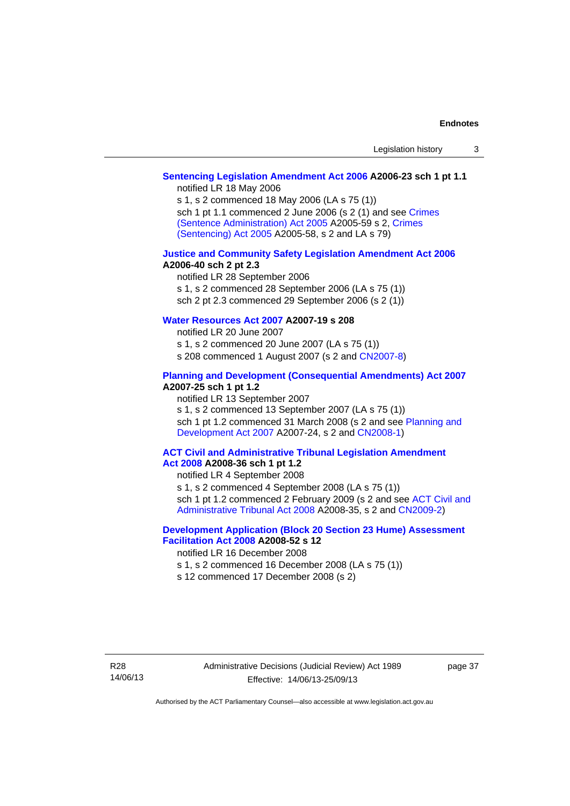## **[Sentencing Legislation Amendment Act 2006](http://www.legislation.act.gov.au/a/2006-23) A2006-23 sch 1 pt 1.1**

notified LR 18 May 2006

s 1, s 2 commenced 18 May 2006 (LA s 75 (1)) sch 1 pt 1.1 commenced 2 June 2006 (s 2 (1) and see [Crimes](http://www.legislation.act.gov.au/a/2005-59)  [\(Sentence Administration\) Act 2005](http://www.legislation.act.gov.au/a/2005-59) A2005-59 s 2, [Crimes](http://www.legislation.act.gov.au/a/2005-58)  [\(Sentencing\) Act 2005](http://www.legislation.act.gov.au/a/2005-58) A2005-58, s 2 and LA s 79)

#### **[Justice and Community Safety Legislation Amendment Act 2006](http://www.legislation.act.gov.au/a/2006-40) A2006-40 sch 2 pt 2.3**

notified LR 28 September 2006 s 1, s 2 commenced 28 September 2006 (LA s 75 (1)) sch 2 pt 2.3 commenced 29 September 2006 (s 2 (1))

## **[Water Resources Act 2007](http://www.legislation.act.gov.au/a/2007-19) A2007-19 s 208**

notified LR 20 June 2007 s 1, s 2 commenced 20 June 2007 (LA s 75 (1)) s 208 commenced 1 August 2007 (s 2 and [CN2007-8](http://www.legislation.act.gov.au/cn/2007-8/default.asp))

#### **[Planning and Development \(Consequential Amendments\) Act 2007](http://www.legislation.act.gov.au/a/2007-25) A2007-25 sch 1 pt 1.2**

notified LR 13 September 2007

s 1, s 2 commenced 13 September 2007 (LA s 75 (1)) sch 1 pt 1.2 commenced 31 March 2008 (s 2 and see Planning and [Development Act 2007](http://www.legislation.act.gov.au/a/2007-24) A2007-24, s 2 and [CN2008-1](http://www.legislation.act.gov.au/cn/2008-1/default.asp))

#### **[ACT Civil and Administrative Tribunal Legislation Amendment](http://www.legislation.act.gov.au/a/2008-36)  [Act 2008](http://www.legislation.act.gov.au/a/2008-36) A2008-36 sch 1 pt 1.2**

notified LR 4 September 2008

s 1, s 2 commenced 4 September 2008 (LA s 75 (1))

sch 1 pt 1.2 commenced 2 February 2009 (s 2 and see [ACT Civil and](http://www.legislation.act.gov.au/a/2008-35)  [Administrative Tribunal Act 2008](http://www.legislation.act.gov.au/a/2008-35) A2008-35, s 2 and [CN2009-2\)](http://www.legislation.act.gov.au/cn/2009-2/default.asp)

## **[Development Application \(Block 20 Section 23 Hume\) Assessment](http://www.legislation.act.gov.au/a/2008-52)  [Facilitation Act 2008](http://www.legislation.act.gov.au/a/2008-52) A2008-52 s 12**

notified LR 16 December 2008

s 1, s 2 commenced 16 December 2008 (LA s 75 (1))

s 12 commenced 17 December 2008 (s 2)

page 37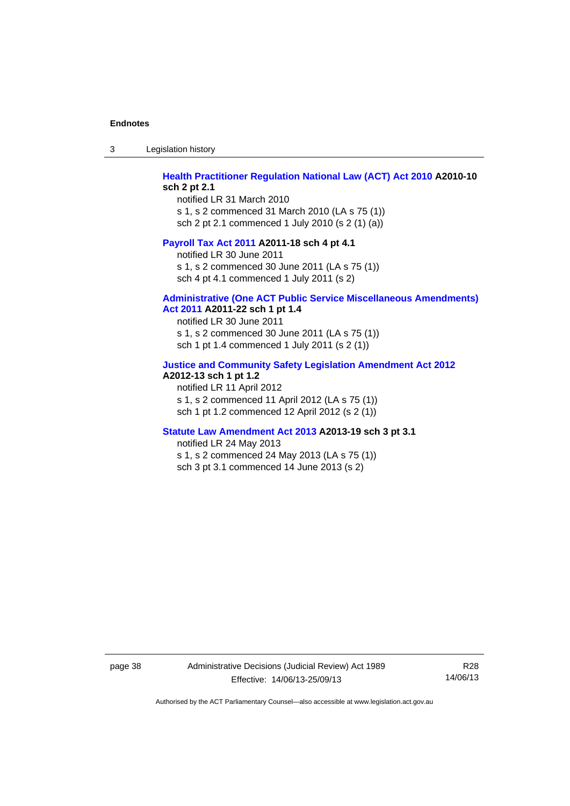3 Legislation history

## **[Health Practitioner Regulation National Law \(ACT\) Act 2010](http://www.legislation.act.gov.au/a/2010-10) A2010-10 sch 2 pt 2.1**

notified LR 31 March 2010 s 1, s 2 commenced 31 March 2010 (LA s 75 (1)) sch 2 pt 2.1 commenced 1 July 2010 (s 2 (1) (a))

#### **[Payroll Tax Act 2011](http://www.legislation.act.gov.au/a/2011-18) A2011-18 sch 4 pt 4.1**

notified LR 30 June 2011 s 1, s 2 commenced 30 June 2011 (LA s 75 (1)) sch 4 pt 4.1 commenced 1 July 2011 (s 2)

#### **[Administrative \(One ACT Public Service Miscellaneous Amendments\)](http://www.legislation.act.gov.au/a/2011-22)**

**[Act 2011](http://www.legislation.act.gov.au/a/2011-22) A2011-22 sch 1 pt 1.4** 

notified LR 30 June 2011 s 1, s 2 commenced 30 June 2011 (LA s 75 (1)) sch 1 pt 1.4 commenced 1 July 2011 (s 2 (1))

## **[Justice and Community Safety Legislation Amendment Act 2012](http://www.legislation.act.gov.au/a/2012-13)**

## **A2012-13 sch 1 pt 1.2**

notified LR 11 April 2012 s 1, s 2 commenced 11 April 2012 (LA s 75 (1)) sch 1 pt 1.2 commenced 12 April 2012 (s 2 (1))

#### **[Statute Law Amendment Act 2013](http://www.legislation.act.gov.au/a/2013-19) A2013-19 sch 3 pt 3.1**

notified LR 24 May 2013 s 1, s 2 commenced 24 May 2013 (LA s 75 (1)) sch 3 pt 3.1 commenced 14 June 2013 (s 2)

page 38 Administrative Decisions (Judicial Review) Act 1989 Effective: 14/06/13-25/09/13

R28 14/06/13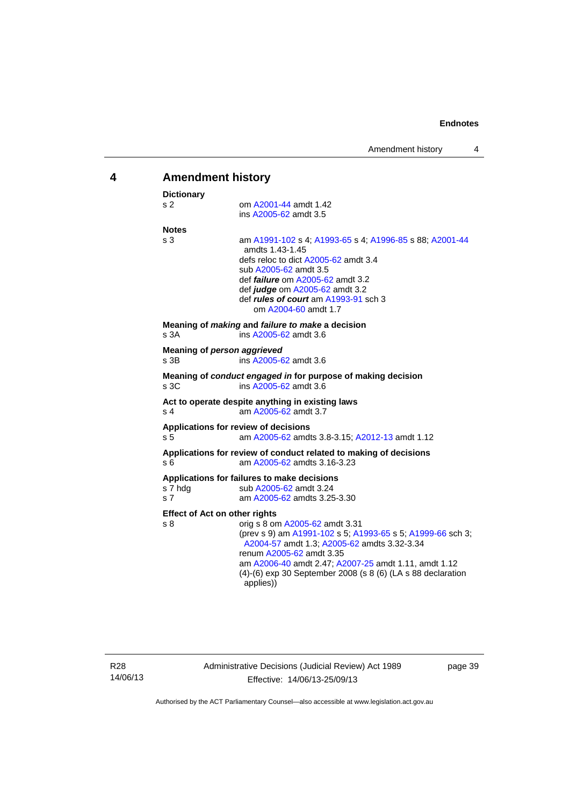<span id="page-42-0"></span>

| 4 |                           | <b>Amendment history</b>                                                                                                                                                                                                                                                                                                                            |  |  |
|---|---------------------------|-----------------------------------------------------------------------------------------------------------------------------------------------------------------------------------------------------------------------------------------------------------------------------------------------------------------------------------------------------|--|--|
|   | <b>Dictionary</b>         |                                                                                                                                                                                                                                                                                                                                                     |  |  |
|   | s <sub>2</sub>            | om A2001-44 amdt 1.42<br>ins A2005-62 amdt 3.5                                                                                                                                                                                                                                                                                                      |  |  |
|   | <b>Notes</b>              |                                                                                                                                                                                                                                                                                                                                                     |  |  |
|   | s <sub>3</sub>            | am A1991-102 s 4; A1993-65 s 4; A1996-85 s 88; A2001-44<br>amdts 1.43-1.45<br>defs reloc to dict A2005-62 amdt 3.4<br>sub A2005-62 amdt 3.5<br>def <i>failure</i> om A2005-62 amdt 3.2<br>def judge om A2005-62 amdt 3.2<br>def rules of court am A1993-91 sch 3<br>om A2004-60 amdt 1.7                                                            |  |  |
|   | s 3A                      | Meaning of making and failure to make a decision<br>ins A2005-62 amdt 3.6                                                                                                                                                                                                                                                                           |  |  |
|   | s 3B                      | Meaning of person aggrieved<br>ins A2005-62 amdt 3.6                                                                                                                                                                                                                                                                                                |  |  |
|   | s 3C                      | Meaning of conduct engaged in for purpose of making decision<br>ins A2005-62 amdt 3.6                                                                                                                                                                                                                                                               |  |  |
|   | s 4                       | Act to operate despite anything in existing laws<br>am A2005-62 amdt 3.7                                                                                                                                                                                                                                                                            |  |  |
|   | s 5                       | Applications for review of decisions<br>am A2005-62 amdts 3.8-3.15; A2012-13 amdt 1.12                                                                                                                                                                                                                                                              |  |  |
|   | s 6                       | Applications for review of conduct related to making of decisions<br>am A2005-62 amdts 3.16-3.23                                                                                                                                                                                                                                                    |  |  |
|   | s 7 hdg<br>s <sub>7</sub> | Applications for failures to make decisions<br>sub A2005-62 amdt 3.24<br>am A2005-62 amdts 3.25-3.30                                                                                                                                                                                                                                                |  |  |
|   | s 8                       | <b>Effect of Act on other rights</b><br>orig s 8 om A2005-62 amdt 3.31<br>(prev s 9) am A1991-102 s 5; A1993-65 s 5; A1999-66 sch 3;<br>A2004-57 amdt 1.3; A2005-62 amdts 3.32-3.34<br>renum A2005-62 amdt 3.35<br>am A2006-40 amdt 2.47; A2007-25 amdt 1.11, amdt 1.12<br>(4)-(6) exp 30 September 2008 (s 8 (6) (LA s 88 declaration<br>applies)) |  |  |

page 39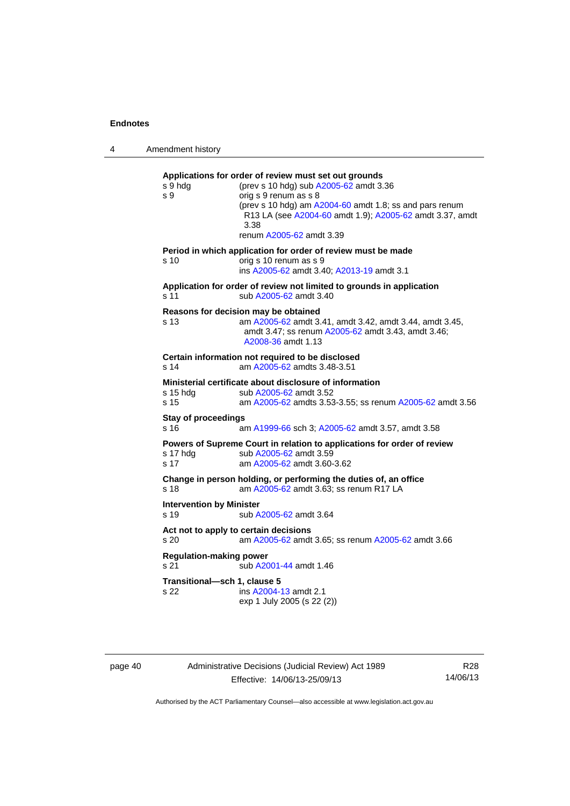4 Amendment history **Applications for order of review must set out grounds**  s 9 hdg (prev s 10 hdg) sub [A2005-62](http://www.legislation.act.gov.au/a/2005-62) amdt 3.36 s 9 orig s 9 renum as s 8 (prev s 10 hdg) am [A2004-60](http://www.legislation.act.gov.au/a/2004-60) amdt 1.8; ss and pars renum R13 LA (see [A2004-60](http://www.legislation.act.gov.au/a/2004-60) amdt 1.9); [A2005-62](http://www.legislation.act.gov.au/a/2005-62) amdt 3.37, amdt 3.38 renum [A2005-62](http://www.legislation.act.gov.au/a/2005-62) amdt 3.39 **Period in which application for order of review must be made**  s 10 orig s 10 renum as s 9 ins [A2005-62](http://www.legislation.act.gov.au/a/2005-62) amdt 3.40; [A2013-19](http://www.legislation.act.gov.au/a/2013-19) amdt 3.1 **Application for order of review not limited to grounds in application**  s 11 sub [A2005-62](http://www.legislation.act.gov.au/a/2005-62) amdt 3.40 **Reasons for decision may be obtained**  s 13 am [A2005-62](http://www.legislation.act.gov.au/a/2005-62) amdt 3.41, amdt 3.42, amdt 3.44, amdt 3.45, amdt 3.47; ss renum [A2005-62](http://www.legislation.act.gov.au/a/2005-62) amdt 3.43, amdt 3.46; [A2008-36](http://www.legislation.act.gov.au/a/2008-36) amdt 1.13 **Certain information not required to be disclosed**  s 14 am [A2005-62](http://www.legislation.act.gov.au/a/2005-62) amdts 3.48-3.51 **Ministerial certificate about disclosure of information**<br>s 15 hdg sub A2005-62 amdt 3.52 sub [A2005-62](http://www.legislation.act.gov.au/a/2005-62) amdt 3.52 s 15 am [A2005-62](http://www.legislation.act.gov.au/a/2005-62) amdts 3.53-3.55; ss renum [A2005-62](http://www.legislation.act.gov.au/a/2005-62) amdt 3.56 **Stay of proceedings**  s 16 am [A1999-66](http://www.legislation.act.gov.au/a/1999-66) sch 3; [A2005-62](http://www.legislation.act.gov.au/a/2005-62) amdt 3.57, amdt 3.58 **Powers of Supreme Court in relation to applications for order of review**  s 17 hdg sub [A2005-62](http://www.legislation.act.gov.au/a/2005-62) amdt 3.59 s 17 am [A2005-62](http://www.legislation.act.gov.au/a/2005-62) amdt 3.60-3.62 **Change in person holding, or performing the duties of, an office**  s 18 **am [A2005-62](http://www.legislation.act.gov.au/a/2005-62)** amdt 3.63; ss renum R17 LA **Intervention by Minister**  s 19 sub [A2005-62](http://www.legislation.act.gov.au/a/2005-62) amdt 3.64 **Act not to apply to certain decisions**  s 20 am [A2005-62](http://www.legislation.act.gov.au/a/2005-62) amdt 3.65; ss renum [A2005-62](http://www.legislation.act.gov.au/a/2005-62) amdt 3.66 **Regulation-making power**  s 21 **Sub [A2001-44](http://www.legislation.act.gov.au/a/2001-44) amdt 1.46 Transitional—sch 1, clause 5**  s 22 ins [A2004-13](http://www.legislation.act.gov.au/a/2004-13) amdt 2.1 exp 1 July 2005 (s 22 (2))

page 40 Administrative Decisions (Judicial Review) Act 1989 Effective: 14/06/13-25/09/13

R28 14/06/13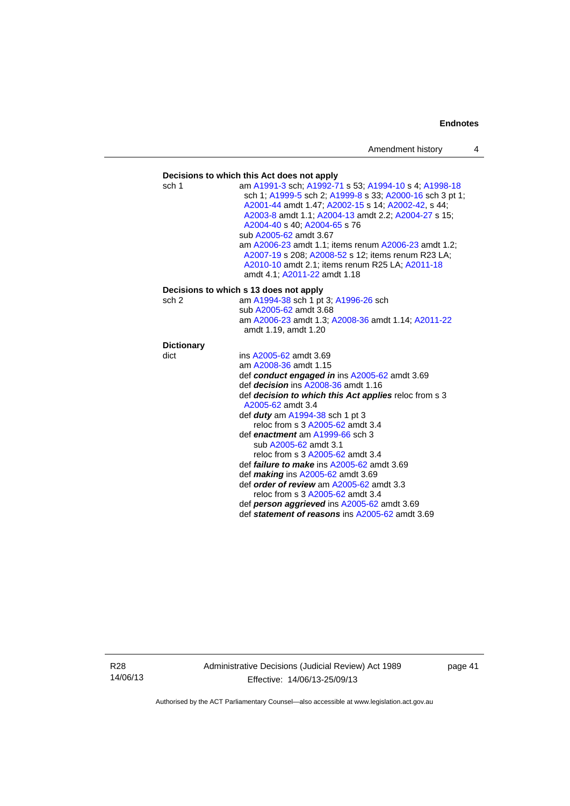#### **Decisions to which this Act does not apply**  sch 1 am [A1991-3](http://www.legislation.act.gov.au/a/1991-3) sch; [A1992-71](http://www.legislation.act.gov.au/a/1992-71) s 53; [A1994-10](http://www.legislation.act.gov.au/a/1994-10) s 4; [A1998-18](http://www.legislation.act.gov.au/a/1998-18) sch 1; [A1999-5](http://www.legislation.act.gov.au/a/1999-5) sch 2; [A1999-8](http://www.legislation.act.gov.au/a/1999-8) s 33; [A2000-16](http://www.legislation.act.gov.au/a/2000-16) sch 3 pt 1; [A2001-44](http://www.legislation.act.gov.au/a/2001-44) amdt 1.47; [A2002-15](http://www.legislation.act.gov.au/a/2002-15) s 14; [A2002-42](http://www.legislation.act.gov.au/a/2002-42), s 44; [A2003-8](http://www.legislation.act.gov.au/a/2003-8) amdt 1.1; [A2004-13](http://www.legislation.act.gov.au/a/2004-13) amdt 2.2; [A2004-27](http://www.legislation.act.gov.au/a/2004-27) s 15; [A2004-40](http://www.legislation.act.gov.au/a/2004-40) s 40; [A2004-65](http://www.legislation.act.gov.au/a/2004-65) s 76 sub [A2005-62](http://www.legislation.act.gov.au/a/2005-62) amdt 3.67 am [A2006-23](http://www.legislation.act.gov.au/a/2006-23) amdt 1.1; items renum [A2006-23](http://www.legislation.act.gov.au/a/2006-23) amdt 1.2; [A2007-19](http://www.legislation.act.gov.au/a/2007-19) s 208; [A2008-52](http://www.legislation.act.gov.au/a/2008-52) s 12; items renum R23 LA; [A2010-10](http://www.legislation.act.gov.au/a/2010-10) amdt 2.1; items renum R25 LA; [A2011-18](http://www.legislation.act.gov.au/a/2011-18) amdt 4.1; [A2011-22](http://www.legislation.act.gov.au/a/2011-22) amdt 1.18 **Decisions to which s 13 does not apply**  sch 2 am [A1994-38](http://www.legislation.act.gov.au/a/1994-38) sch 1 pt 3; [A1996-26](http://www.legislation.act.gov.au/a/1996-26) sch sub [A2005-62](http://www.legislation.act.gov.au/a/2005-62) amdt 3.68 am [A2006-23](http://www.legislation.act.gov.au/a/2006-23) amdt 1.3; [A2008-36](http://www.legislation.act.gov.au/a/2008-36) amdt 1.14; [A2011-22](http://www.legislation.act.gov.au/a/2011-22) amdt 1.19, amdt 1.20 **Dictionary**  dict ins [A2005-62](http://www.legislation.act.gov.au/a/2005-62) amdt 3.69 am [A2008-36](http://www.legislation.act.gov.au/a/2008-36) amdt 1.15 def *conduct engaged in* ins [A2005-62](http://www.legislation.act.gov.au/a/2005-62) amdt 3.69 def *decision* ins [A2008-36](http://www.legislation.act.gov.au/a/2008-36) amdt 1.16 def *decision to which this Act applies* reloc from s 3 [A2005-62](http://www.legislation.act.gov.au/a/2005-62) amdt 3.4 def *duty* am [A1994-38](http://www.legislation.act.gov.au/a/1994-38) sch 1 pt 3 reloc from s 3 [A2005-62](http://www.legislation.act.gov.au/a/2005-62) amdt 3.4 def *enactment* am [A1999-66](http://www.legislation.act.gov.au/a/1999-66) sch 3 sub [A2005-62](http://www.legislation.act.gov.au/a/2005-62) amdt 3.1 reloc from s 3 [A2005-62](http://www.legislation.act.gov.au/a/2005-62) amdt 3.4 def *failure to make* ins [A2005-62](http://www.legislation.act.gov.au/a/2005-62) amdt 3.69 def *making* ins [A2005-62](http://www.legislation.act.gov.au/a/2005-62) amdt 3.69 def *order of review* am [A2005-62](http://www.legislation.act.gov.au/a/2005-62) amdt 3.3 reloc from s 3 [A2005-62](http://www.legislation.act.gov.au/a/2005-62) amdt 3.4 def *person aggrieved* ins [A2005-62](http://www.legislation.act.gov.au/a/2005-62) amdt 3.69 def *statement of reasons* ins [A2005-62](http://www.legislation.act.gov.au/a/2005-62) amdt 3.69

R28 14/06/13 Administrative Decisions (Judicial Review) Act 1989 Effective: 14/06/13-25/09/13

page 41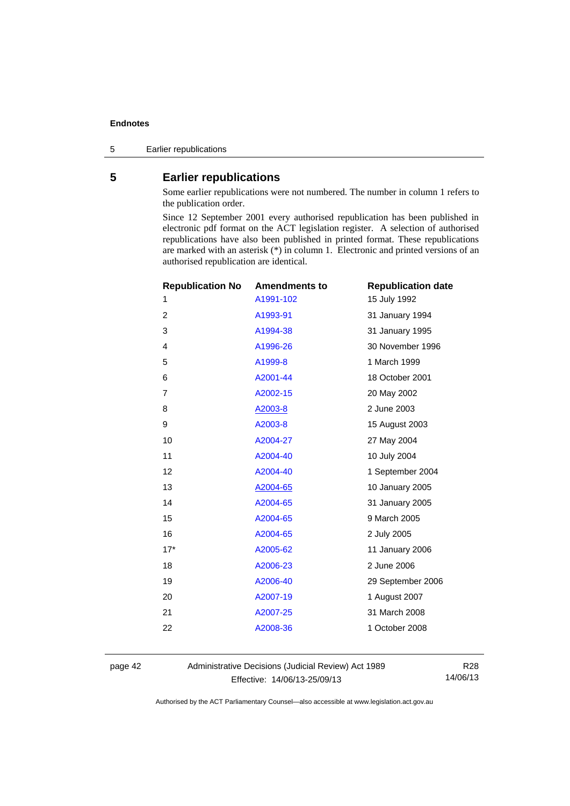5 Earlier republications

## <span id="page-45-0"></span>**5 Earlier republications**

Some earlier republications were not numbered. The number in column 1 refers to the publication order.

Since 12 September 2001 every authorised republication has been published in electronic pdf format on the ACT legislation register. A selection of authorised republications have also been published in printed format. These republications are marked with an asterisk (\*) in column 1. Electronic and printed versions of an authorised republication are identical.

| <b>Republication No</b> | <b>Amendments to</b> | <b>Republication date</b> |
|-------------------------|----------------------|---------------------------|
| 1                       | A1991-102            | 15 July 1992              |
| $\overline{2}$          | A1993-91             | 31 January 1994           |
| 3                       | A1994-38             | 31 January 1995           |
| $\overline{4}$          | A1996-26             | 30 November 1996          |
| 5                       | A1999-8              | 1 March 1999              |
| 6                       | A2001-44             | 18 October 2001           |
| 7                       | A2002-15             | 20 May 2002               |
| 8                       | A2003-8              | 2 June 2003               |
| 9                       | A2003-8              | 15 August 2003            |
| 10                      | A2004-27             | 27 May 2004               |
| 11                      | A2004-40             | 10 July 2004              |
| 12                      | A2004-40             | 1 September 2004          |
| 13                      | A2004-65             | 10 January 2005           |
| 14                      | A2004-65             | 31 January 2005           |
| 15                      | A2004-65             | 9 March 2005              |
| 16                      | A2004-65             | 2 July 2005               |
| $17*$                   | A2005-62             | 11 January 2006           |
| 18                      | A2006-23             | 2 June 2006               |
| 19                      | A2006-40             | 29 September 2006         |
| 20                      | A2007-19             | 1 August 2007             |
| 21                      | A2007-25             | 31 March 2008             |
| 22                      | A2008-36             | 1 October 2008            |
|                         |                      |                           |

page 42 Administrative Decisions (Judicial Review) Act 1989 Effective: 14/06/13-25/09/13

R28 14/06/13